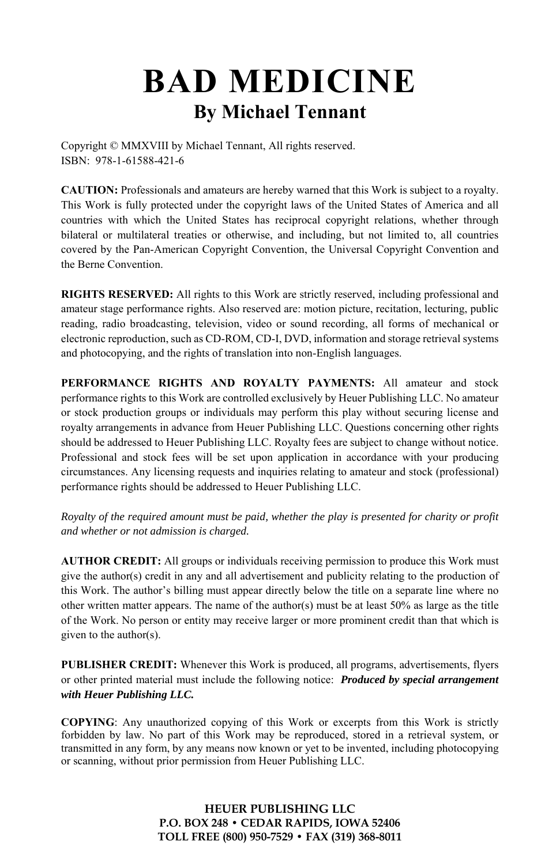# **BAD MEDICINE By Michael Tennant**

Copyright © MMXVIII by Michael Tennant, All rights reserved. ISBN: 978-1-61588-421-6

**CAUTION:** Professionals and amateurs are hereby warned that this Work is subject to a royalty. This Work is fully protected under the copyright laws of the United States of America and all countries with which the United States has reciprocal copyright relations, whether through bilateral or multilateral treaties or otherwise, and including, but not limited to, all countries covered by the Pan-American Copyright Convention, the Universal Copyright Convention and the Berne Convention.

**RIGHTS RESERVED:** All rights to this Work are strictly reserved, including professional and amateur stage performance rights. Also reserved are: motion picture, recitation, lecturing, public reading, radio broadcasting, television, video or sound recording, all forms of mechanical or electronic reproduction, such as CD-ROM, CD-I, DVD, information and storage retrieval systems and photocopying, and the rights of translation into non-English languages.

**PERFORMANCE RIGHTS AND ROYALTY PAYMENTS:** All amateur and stock performance rights to this Work are controlled exclusively by Heuer Publishing LLC. No amateur or stock production groups or individuals may perform this play without securing license and royalty arrangements in advance from Heuer Publishing LLC. Questions concerning other rights should be addressed to Heuer Publishing LLC. Royalty fees are subject to change without notice. Professional and stock fees will be set upon application in accordance with your producing circumstances. Any licensing requests and inquiries relating to amateur and stock (professional) performance rights should be addressed to Heuer Publishing LLC.

*Royalty of the required amount must be paid, whether the play is presented for charity or profit and whether or not admission is charged.* 

**AUTHOR CREDIT:** All groups or individuals receiving permission to produce this Work must give the author(s) credit in any and all advertisement and publicity relating to the production of this Work. The author's billing must appear directly below the title on a separate line where no other written matter appears. The name of the author(s) must be at least  $50\%$  as large as the title of the Work. No person or entity may receive larger or more prominent credit than that which is given to the author(s).

**PUBLISHER CREDIT:** Whenever this Work is produced, all programs, advertisements, flyers or other printed material must include the following notice: *Produced by special arrangement with Heuer Publishing LLC.*

**COPYING**: Any unauthorized copying of this Work or excerpts from this Work is strictly forbidden by law. No part of this Work may be reproduced, stored in a retrieval system, or transmitted in any form, by any means now known or yet to be invented, including photocopying or scanning, without prior permission from Heuer Publishing LLC.

> **HEUER PUBLISHING LLC P.O. BOX 248 • CEDAR RAPIDS, IOWA 52406 TOLL FREE (800) 950-7529 • FAX (319) 368-8011**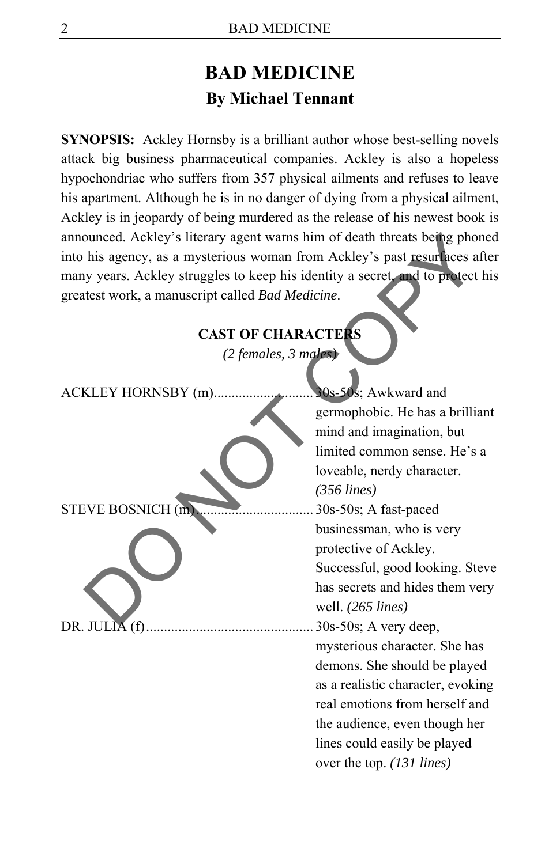# **BAD MEDICINE By Michael Tennant**

**SYNOPSIS:** Ackley Hornsby is a brilliant author whose best-selling novels attack big business pharmaceutical companies. Ackley is also a hopeless hypochondriac who suffers from 357 physical ailments and refuses to leave his apartment. Although he is in no danger of dying from a physical ailment, Ackley is in jeopardy of being murdered as the release of his newest book is announced. Ackley's literary agent warns him of death threats being phoned into his agency, as a mysterious woman from Ackley's past resurfaces after many years. Ackley struggles to keep his identity a secret, and to protect his greatest work, a manuscript called *Bad Medicine*.

#### **CAST OF CHARACTERS**

| announced. Ackley's literary agent warns him of death threats being phoned     |                                   |  |
|--------------------------------------------------------------------------------|-----------------------------------|--|
| into his agency, as a mysterious woman from Ackley's past resurfaces after     |                                   |  |
| many years. Ackley struggles to keep his identity a secret, and to protect his |                                   |  |
| greatest work, a manuscript called Bad Medicine.                               |                                   |  |
|                                                                                |                                   |  |
| <b>CAST OF CHARACTERS</b>                                                      |                                   |  |
| (2 females, 3 males)                                                           |                                   |  |
| ACKLEY HORNSBY (m).                                                            | 30s-50s; Awkward and              |  |
|                                                                                | germophobic. He has a brilliant   |  |
|                                                                                | mind and imagination, but         |  |
|                                                                                | limited common sense. He's a      |  |
|                                                                                | loveable, nerdy character.        |  |
|                                                                                | $(356$ lines)                     |  |
| <b>STEVE BOSNICH</b> (m)                                                       | 30s-50s; A fast-paced             |  |
|                                                                                | businessman, who is very          |  |
|                                                                                | protective of Ackley.             |  |
|                                                                                | Successful, good looking. Steve   |  |
|                                                                                | has secrets and hides them very   |  |
|                                                                                | well. $(265$ lines)               |  |
| DR. JULIA (f)                                                                  | 30s-50s; A very deep,             |  |
|                                                                                | mysterious character. She has     |  |
|                                                                                | demons. She should be played      |  |
|                                                                                | as a realistic character, evoking |  |
|                                                                                | real emotions from herself and    |  |
|                                                                                | the audience, even though her     |  |
|                                                                                | lines could easily be played      |  |
|                                                                                | over the top. (131 lines)         |  |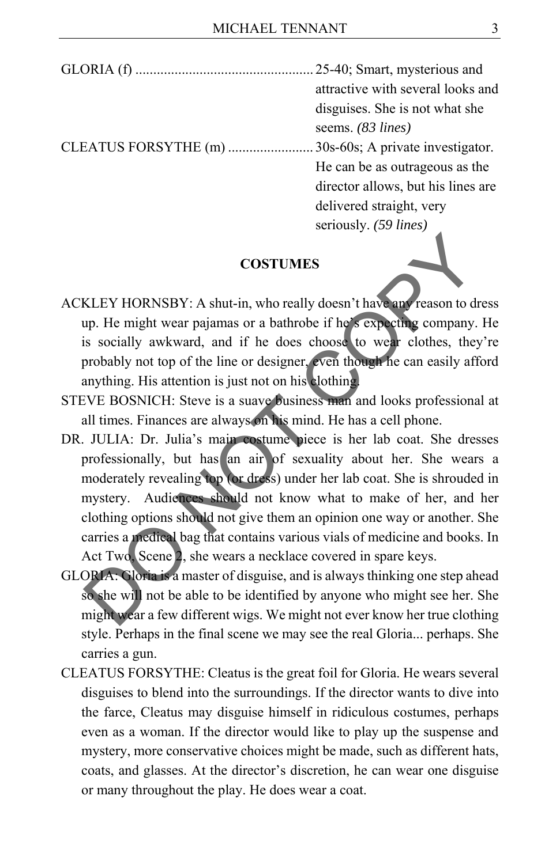#### **COSTUMES**

- ACKLEY HORNSBY: A shut-in, who really doesn't have any reason to dress up. He might wear pajamas or a bathrobe if he's expecting company. He is socially awkward, and if he does choose to wear clothes, they're probably not top of the line or designer, even though he can easily afford anything. His attention is just not on his clothing.
- STEVE BOSNICH: Steve is a suave business man and looks professional at all times. Finances are always on his mind. He has a cell phone.
- DR. JULIA: Dr. Julia's main costume piece is her lab coat. She dresses professionally, but has an air of sexuality about her. She wears a moderately revealing top (or dress) under her lab coat. She is shrouded in mystery. Audiences should not know what to make of her, and her clothing options should not give them an opinion one way or another. She carries a medical bag that contains various vials of medicine and books. In Act Two, Scene 2, she wears a necklace covered in spare keys. **COSTUMES**<br>
COSTUMES<br>
KLEY HORNSBY: A shut-in, who really doesn't have any reason to dres<br>
up. He might wear pajamas or a bathrobe if he's expecting company. H<br>
is socially awkward, and if he does choose to weak clothes, t
- GLORIA: Gloria is a master of disguise, and is always thinking one step ahead so she will not be able to be identified by anyone who might see her. She might wear a few different wigs. We might not ever know her true clothing style. Perhaps in the final scene we may see the real Gloria... perhaps. She carries a gun.
- CLEATUS FORSYTHE: Cleatus is the great foil for Gloria. He wears several disguises to blend into the surroundings. If the director wants to dive into the farce, Cleatus may disguise himself in ridiculous costumes, perhaps even as a woman. If the director would like to play up the suspense and mystery, more conservative choices might be made, such as different hats, coats, and glasses. At the director's discretion, he can wear one disguise or many throughout the play. He does wear a coat.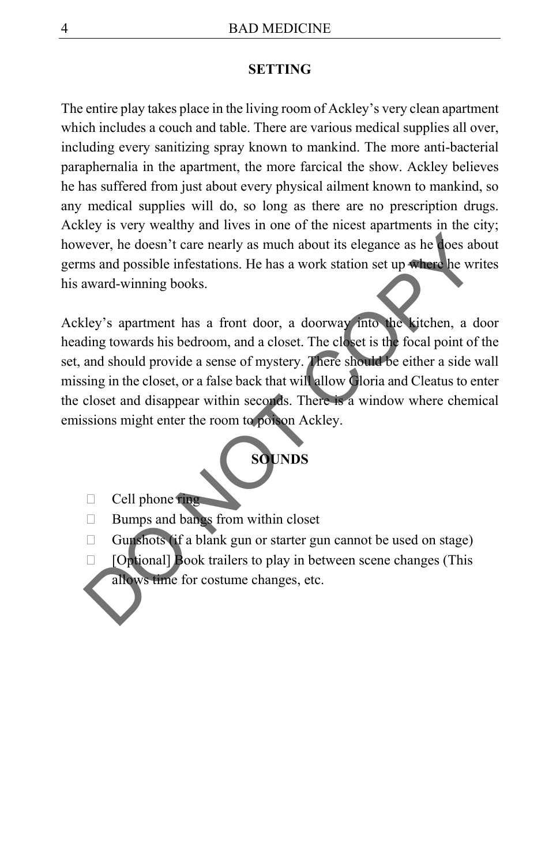#### **SETTING**

The entire play takes place in the living room of Ackley's very clean apartment which includes a couch and table. There are various medical supplies all over, including every sanitizing spray known to mankind. The more anti-bacterial paraphernalia in the apartment, the more farcical the show. Ackley believes he has suffered from just about every physical ailment known to mankind, so any medical supplies will do, so long as there are no prescription drugs. Ackley is very wealthy and lives in one of the nicest apartments in the city; however, he doesn't care nearly as much about its elegance as he does about germs and possible infestations. He has a work station set up where he writes his award-winning books.

Ackley's apartment has a front door, a doorway into the kitchen, a door heading towards his bedroom, and a closet. The closet is the focal point of the set, and should provide a sense of mystery. There should be either a side wall missing in the closet, or a false back that will allow Gloria and Cleatus to enter the closet and disappear within seconds. There is a window where chemical emissions might enter the room to poison Ackley. Solution and particular text and the set allows the set allows the set allows the set allows the set allows the set allows the set allows the virtual ward-winning books.<br>
Ley's apartment has a front door, a doorway into t



- $\Box$  Cell phone ring
- $\Box$  Bumps and bangs from within closet
- Gunshots (if a blank gun or starter gun cannot be used on stage)
- $\Box$  [Optional] Book trailers to play in between scene changes (This allows time for costume changes, etc.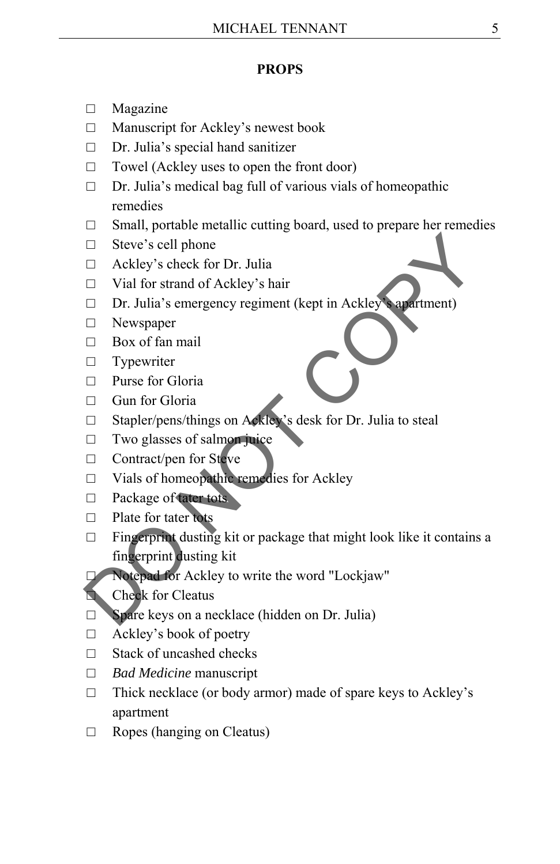#### **PROPS**

- □ Magazine
- □ Manuscript for Ackley's newest book
- □ Dr. Julia's special hand sanitizer
- $\Box$  Towel (Ackley uses to open the front door)
- $\Box$  Dr. Julia's medical bag full of various vials of homeopathic remedies
- $\Box$  Small, portable metallic cutting board, used to prepare her remedies
- □ Steve's cell phone
- □ Ackley's check for Dr. Julia
- □ Vial for strand of Ackley's hair
- □ Dr. Julia's emergency regiment (kept in Ackley's apartment)
- □ Newspaper
- $\Box$  Box of fan mail
- □ Typewriter
- □ Purse for Gloria
- □ Gun for Gloria
- □ Stapler/pens/things on Ackley's desk for Dr. Julia to steal
- $\Box$  Two glasses of salmon juice
- □ Contract/pen for Steve
- □ Vials of homeopathic remedies for Ackley
- □ Package of tater tots
- □ Plate for tater tots
- □ Fingerprint dusting kit or package that might look like it contains a fingerprint dusting kit <table>\n<tbody>\n<tr>\n<td>□ Steve's cell phone</td>\n</tr>\n<tr>\n<td>□ Ackley's check for Dr. Julia</td>\n</tr>\n<tr>\n<td>□ Vial for strand of Ackley's hair</td>\n</tr>\n<tr>\n<td>□ Dr. Julia's emergency regiment (kept in Ackley)</td>\n</tr>\n<tr>\n<td>□ Newspaper</td>\n</tr>\n<tr>\n<td>□ Box of fan mail</td>\n</tr>\n<tr>\n<td>□ True for Gloria</td>\n</tr>\n<tr>\n<td>□ Gun for Gloria</td>\n</tr>\n<tr>\n<td>□ Super/pens/things on Akley's desk for Dr. Julia to steal</td>\n</tr>\n<tr>\n<td>□ Two glasses of salmo, piece</td>\n</tr>\n<tr>\n<td>
- Notepad for Ackley to write the word "Lockjaw"
- Check for Cleatus
- □ Spare keys on a necklace (hidden on Dr. Julia)
- □ Ackley's book of poetry
- □ Stack of uncashed checks
- □ *Bad Medicine* manuscript
- $\Box$  Thick necklace (or body armor) made of spare keys to Ackley's apartment
- □ Ropes (hanging on Cleatus)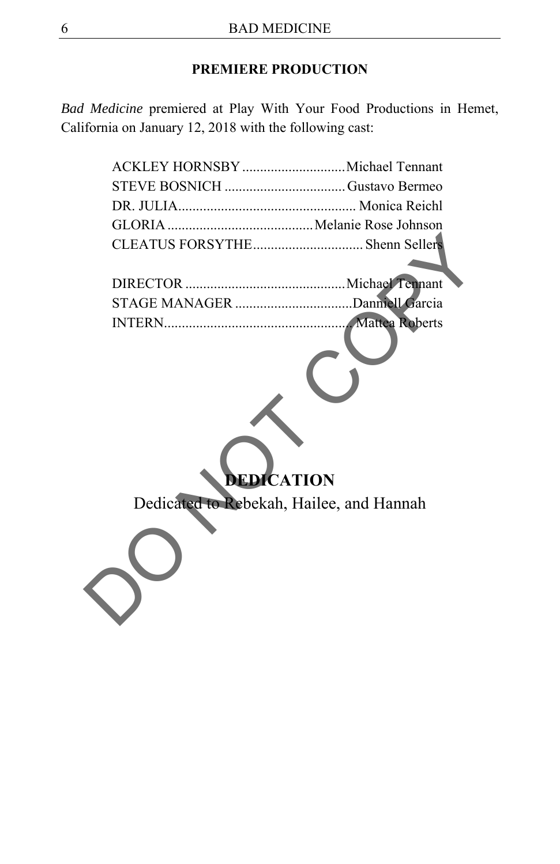# **PREMIERE PRODUCTION**

*Bad Medicine* premiered at Play With Your Food Productions in Hemet, California on January 12, 2018 with the following cast:

| ACKLEY HORNSBY  Michael Tennant          |  |
|------------------------------------------|--|
| STEVE BOSNICH Gustavo Bermeo             |  |
|                                          |  |
|                                          |  |
| CLEATUS FORSYTHE Shenn Sellers           |  |
|                                          |  |
|                                          |  |
|                                          |  |
| <b>DEDICATION</b>                        |  |
| Dedicated to Rebekah, Hailee, and Hannah |  |
|                                          |  |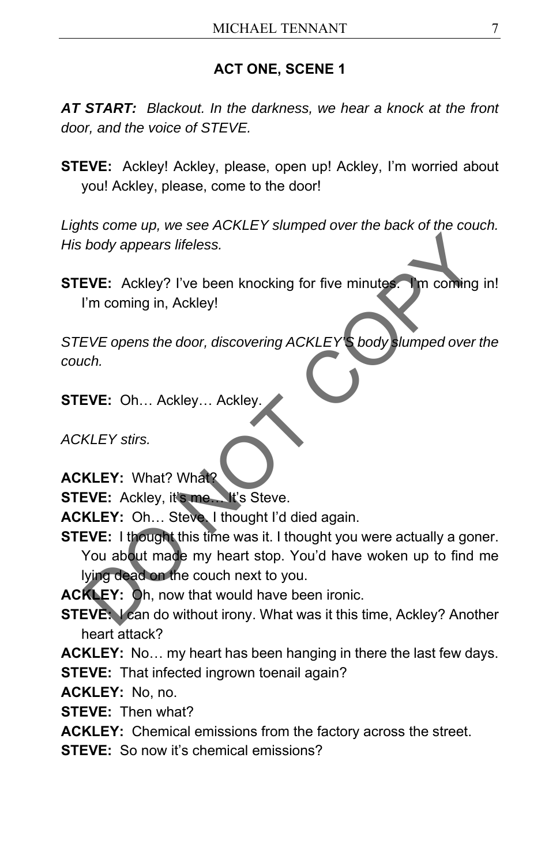### **ACT ONE, SCENE 1**

*AT START: Blackout. In the darkness, we hear a knock at the front door, and the voice of STEVE.* 

**STEVE:** Ackley! Ackley, please, open up! Ackley, I'm worried about you! Ackley, please, come to the door!

*Lights come up, we see ACKLEY slumped over the back of the couch. His body appears lifeless.* 

**STEVE:** Ackley? I've been knocking for five minutes. I'm coming in! I'm coming in, Ackley!

*STEVE opens the door, discovering ACKLEY'S body slumped over the couch.* 

**STEVE:** Oh… Ackley… Ackley.

*ACKLEY stirs.* 

- **ACKLEY:** What? What?
- **STEVE:** Ackley, it's me... It's Steve.

**ACKLEY:** Oh… Steve. I thought I'd died again.

**STEVE:** I thought this time was it. I thought you were actually a goner. You about made my heart stop. You'd have woken up to find me lying dead on the couch next to you. body appears lifeless.<br>
EVE: Ackley? I've been knocking for five minutes. The conting in<br>
I'm coming in, Ackley!<br>
EVE opens the door, discovering ACKLEY's body slumped over the<br>
cord.<br>
EVE: Oh... Ackley... Ackley.<br>
KLEY: U

**ACKLEY:** Oh, now that would have been ironic.

**STEVE:** I can do without irony. What was it this time, Ackley? Another heart attack?

**ACKLEY:** No… my heart has been hanging in there the last few days.

**STEVE:** That infected ingrown toenail again?

**ACKLEY:** No, no.

**STEVE:** Then what?

**ACKLEY:** Chemical emissions from the factory across the street.

**STEVE:** So now it's chemical emissions?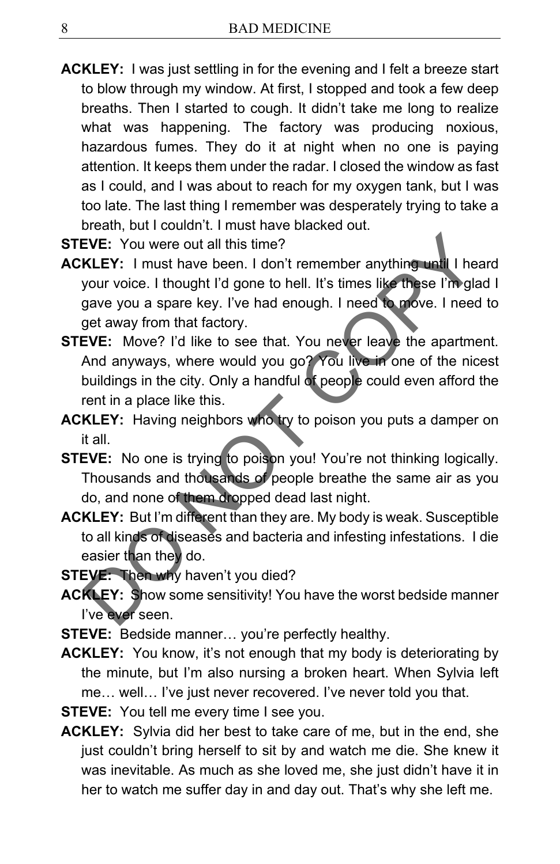- **ACKLEY:** I was just settling in for the evening and I felt a breeze start to blow through my window. At first, I stopped and took a few deep breaths. Then I started to cough. It didn't take me long to realize what was happening. The factory was producing noxious, hazardous fumes. They do it at night when no one is paying attention. It keeps them under the radar. I closed the window as fast as I could, and I was about to reach for my oxygen tank, but I was too late. The last thing I remember was desperately trying to take a breath, but I couldn't. I must have blacked out.
- **STEVE:** You were out all this time?
- **ACKLEY:** I must have been. I don't remember anything until I heard your voice. I thought I'd gone to hell. It's times like these I'm glad I gave you a spare key. I've had enough. I need to move. I need to get away from that factory.
- **STEVE:** Move? I'd like to see that. You never leave the apartment. And anyways, where would you go? You live in one of the nicest buildings in the city. Only a handful of people could even afford the rent in a place like this. EVE: You were out all this time?<br>
KLEY: I must have been. I don't remember anything until I hearyour voice. I thought I'd gone to hell. It's times like these I'm glad<br>
gave you a spare key. I've had enough. I need to move.
- **ACKLEY:** Having neighbors who try to poison you puts a damper on it all.
- **STEVE:** No one is trying to poison you! You're not thinking logically. Thousands and thousands of people breathe the same air as you do, and none of them dropped dead last night.
- **ACKLEY:** But I'm different than they are. My body is weak. Susceptible to all kinds of diseases and bacteria and infesting infestations. I die easier than they do.
- **STEVE:** Then why haven't you died?
- **ACKLEY:** Show some sensitivity! You have the worst bedside manner I've ever seen.
- **STEVE:** Bedside manner… you're perfectly healthy.
- **ACKLEY:** You know, it's not enough that my body is deteriorating by the minute, but I'm also nursing a broken heart. When Sylvia left me… well… I've just never recovered. I've never told you that.
- **STEVE:** You tell me every time I see you.
- **ACKLEY:** Sylvia did her best to take care of me, but in the end, she just couldn't bring herself to sit by and watch me die. She knew it was inevitable. As much as she loved me, she just didn't have it in her to watch me suffer day in and day out. That's why she left me.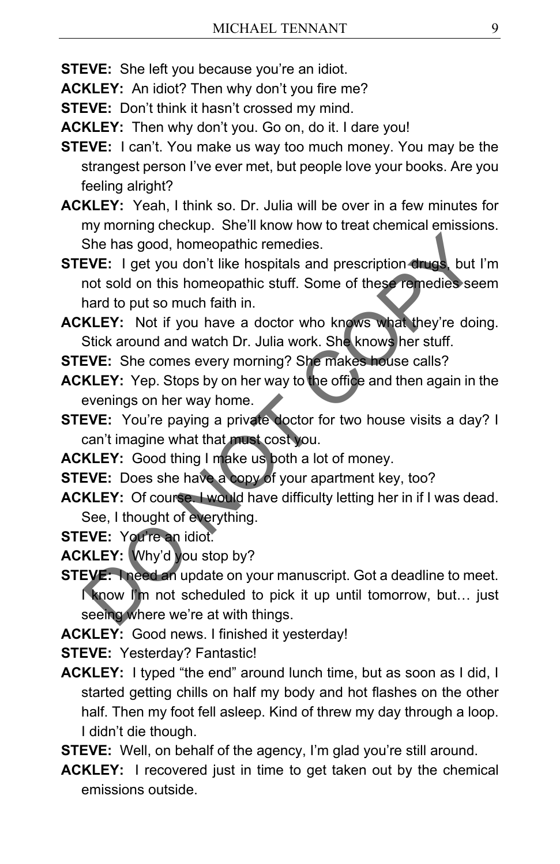**STEVE:** She left you because you're an idiot.

**ACKLEY:** An idiot? Then why don't you fire me?

**STEVE:** Don't think it hasn't crossed my mind.

- **ACKLEY:** Then why don't you. Go on, do it. I dare you!
- **STEVE:** I can't. You make us way too much money. You may be the strangest person I've ever met, but people love your books. Are you feeling alright?
- **ACKLEY:** Yeah, I think so. Dr. Julia will be over in a few minutes for my morning checkup. She'll know how to treat chemical emissions. She has good, homeopathic remedies.
- **STEVE:** I get you don't like hospitals and prescription drugs, but I'm not sold on this homeopathic stuff. Some of these remedies seem hard to put so much faith in. She has good, homeopathic remedies.<br>
EVE: I get you don't like hospitals and prescription drugs but I'n<br>
not sold on this homeopathic stuff. Some of these remedies seem<br>
hard to put so much faith in.<br>
KLEY: Not if you have
- **ACKLEY:** Not if you have a doctor who knows what they're doing. Stick around and watch Dr. Julia work. She knows her stuff.
- **STEVE:** She comes every morning? She makes house calls?
- **ACKLEY:** Yep. Stops by on her way to the office and then again in the evenings on her way home.
- **STEVE:** You're paying a private doctor for two house visits a day? I can't imagine what that must cost you.
- **ACKLEY:** Good thing I make us both a lot of money.
- **STEVE:** Does she have a copy of your apartment key, too?
- **ACKLEY:** Of course. I would have difficulty letting her in if I was dead. See, I thought of everything.
- **STEVE:** You're an idiot.
- **ACKLEY:** Why'd you stop by?
- **STEVE:** I need an update on your manuscript. Got a deadline to meet. I know I'm not scheduled to pick it up until tomorrow, but… just seeing where we're at with things.
- **ACKLEY:** Good news. I finished it yesterday!
- **STEVE:** Yesterday? Fantastic!
- **ACKLEY:** I typed "the end" around lunch time, but as soon as I did, I started getting chills on half my body and hot flashes on the other half. Then my foot fell asleep. Kind of threw my day through a loop. I didn't die though.
- **STEVE:** Well, on behalf of the agency, I'm glad you're still around.
- **ACKLEY:** I recovered just in time to get taken out by the chemical emissions outside.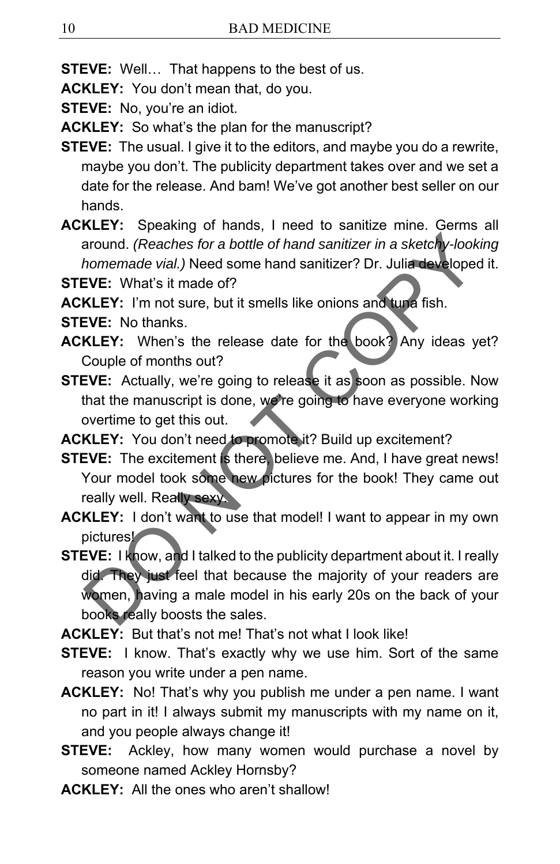**STEVE:** Well… That happens to the best of us.

**ACKLEY:** You don't mean that, do you.

**STEVE:** No, you're an idiot.

**ACKLEY:** So what's the plan for the manuscript?

- **STEVE:** The usual. I give it to the editors, and maybe you do a rewrite, maybe you don't. The publicity department takes over and we set a date for the release. And bam! We've got another best seller on our hands.
- **ACKLEY:** Speaking of hands, I need to sanitize mine. Germs all around. *(Reaches for a bottle of hand sanitizer in a sketchy-looking homemade vial.)* Need some hand sanitizer? Dr. Julia developed it.

**STEVE:** What's it made of?

**ACKLEY:** I'm not sure, but it smells like onions and tuna fish.

- **STEVE:** No thanks.
- **ACKLEY:** When's the release date for the book? Any ideas yet? Couple of months out?
- **STEVE:** Actually, we're going to release it as soon as possible. Now that the manuscript is done, we're going to have everyone working overtime to get this out.

**ACKLEY:** You don't need to promote it? Build up excitement?

- **STEVE:** The excitement is there, believe me. And, I have great news! Your model took some new pictures for the book! They came out really well. Really sexy.
- **ACKLEY:** I don't want to use that model! I want to appear in my own pictures!
- **STEVE:** I know, and I talked to the publicity department about it. I really did. They just feel that because the majority of your readers are women, having a male model in his early 20s on the back of your books really boosts the sales. around. (*Reaches for a bottle of hand sanitizer in a sketchy-lookin<br>homemade vial.)* Need some hand sanitizer? Dr. Julia developed it<br>**EVE:** What's it made of?<br>**KLEY:** I'm not sure, but it smells like onions and tupe fish

**ACKLEY:** But that's not me! That's not what I look like!

- **STEVE:** I know. That's exactly why we use him. Sort of the same reason you write under a pen name.
- **ACKLEY:** No! That's why you publish me under a pen name. I want no part in it! I always submit my manuscripts with my name on it, and you people always change it!
- **STEVE:** Ackley, how many women would purchase a novel by someone named Ackley Hornsby?
- **ACKLEY:** All the ones who aren't shallow!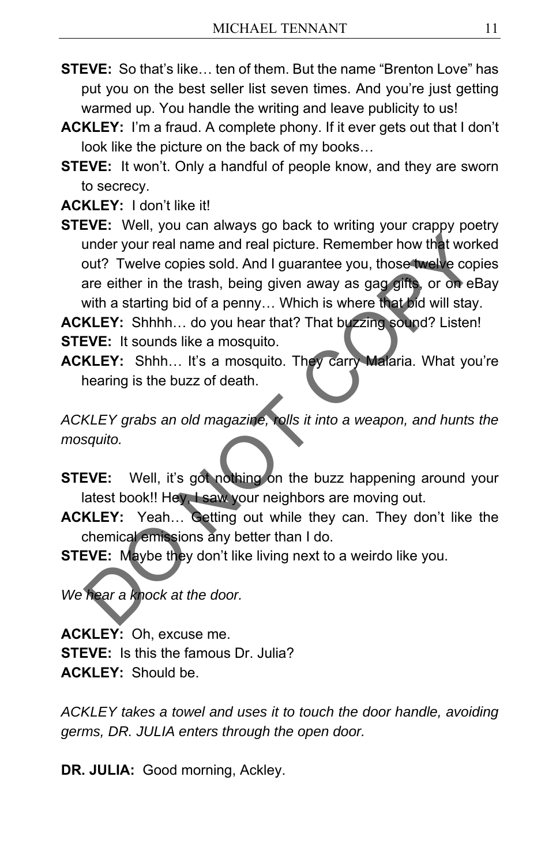- **STEVE:** So that's like… ten of them. But the name "Brenton Love" has put you on the best seller list seven times. And you're just getting warmed up. You handle the writing and leave publicity to us!
- **ACKLEY:** I'm a fraud. A complete phony. If it ever gets out that I don't look like the picture on the back of my books…
- **STEVE:** It won't. Only a handful of people know, and they are sworn to secrecy.

**ACKLEY:** I don't like it!

**STEVE:** Well, you can always go back to writing your crappy poetry under your real name and real picture. Remember how that worked out? Twelve copies sold. And I guarantee you, those twelve copies are either in the trash, being given away as gag gifts, or on eBay with a starting bid of a penny… Which is where that bid will stay. under your real name and real picture. Remember how that workeout? Twelve copies sold. And I guarantee you, those twelve copies are either in the trash, being given away as gag gifts, or on eBa;<br>air either in the trash, be

**ACKLEY:** Shhhh… do you hear that? That buzzing sound? Listen! **STEVE:** It sounds like a mosquito.

**ACKLEY:** Shhh… It's a mosquito. They carry Malaria. What you're hearing is the buzz of death.

*ACKLEY grabs an old magazine, rolls it into a weapon, and hunts the mosquito.* 

- **STEVE:** Well, it's got nothing on the buzz happening around your latest book!! Hey, I saw your neighbors are moving out.
- **ACKLEY:** Yeah… Getting out while they can. They don't like the chemical emissions any better than I do.
- **STEVE:** Maybe they don't like living next to a weirdo like you.

*We hear a knock at the door.* 

**ACKLEY:** Oh, excuse me. **STEVE:** Is this the famous Dr. Julia? **ACKLEY:** Should be.

*ACKLEY takes a towel and uses it to touch the door handle, avoiding germs, DR. JULIA enters through the open door.* 

DR. JULIA: Good morning, Ackley.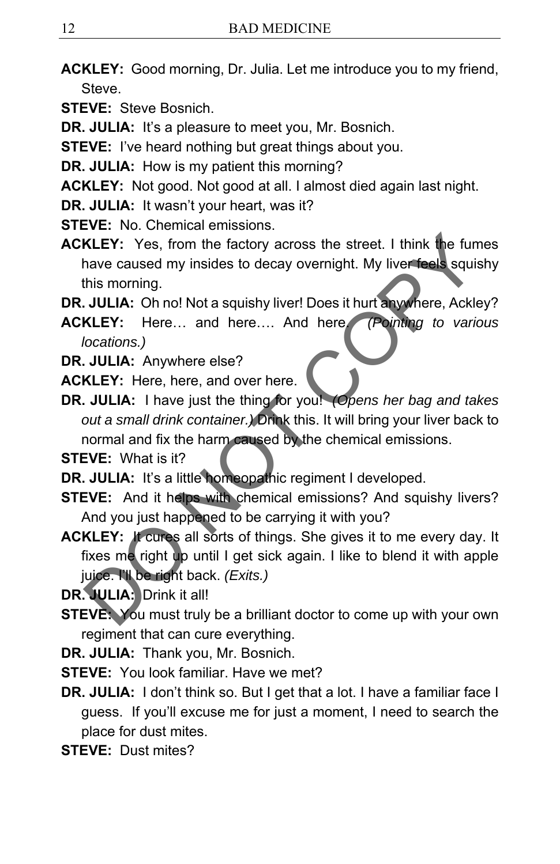- **ACKLEY:** Good morning, Dr. Julia. Let me introduce you to my friend, **Steve**
- **STEVE:** Steve Bosnich.
- **DR. JULIA:** It's a pleasure to meet you, Mr. Bosnich.
- **STEVE:** I've heard nothing but great things about you.
- **DR. JULIA:** How is my patient this morning?
- **ACKLEY:** Not good. Not good at all. I almost died again last night.
- **DR. JULIA:** It wasn't your heart, was it?
- **STEVE:** No. Chemical emissions.
- **ACKLEY:** Yes, from the factory across the street. I think the fumes have caused my insides to decay overnight. My liver feels squishy this morning.
- **DR. JULIA:** Oh no! Not a squishy liver! Does it hurt anywhere, Ackley?
- **ACKLEY:** Here… and here…. And here. *(Pointing to various locations.)*
- **DR. JULIA:** Anywhere else?
- **ACKLEY:** Here, here, and over here.
- **DR. JULIA:** I have just the thing for you! *(Opens her bag and takes out a small drink container.)* Drink this. It will bring your liver back to normal and fix the harm caused by the chemical emissions. KLEY: Yes, from the factory across the street. I think the fume-<br>have caused my insides to decay overnight. My liver feels squish-<br>this morning.<br>JULIA: Oh no! Not a squishy liver! Does it hurt anywhere, Ackley<br>KLEY: Here..
- **STEVE:** What is it?
- **DR. JULIA:** It's a little homeopathic regiment I developed.
- **STEVE:** And it helps with chemical emissions? And squishy livers? And you just happened to be carrying it with you?
- **ACKLEY:** It cures all sorts of things. She gives it to me every day. It fixes me right up until I get sick again. I like to blend it with apple juice. I'll be right back. *(Exits.)*
- **DR. JULIA:** Drink it all!
- **STEVE:** You must truly be a brilliant doctor to come up with your own regiment that can cure everything.
- **DR. JULIA:** Thank you, Mr. Bosnich.
- **STEVE:** You look familiar. Have we met?
- **DR. JULIA:** I don't think so. But I get that a lot. I have a familiar face I guess. If you'll excuse me for just a moment, I need to search the place for dust mites.
- **STEVE:** Dust mites?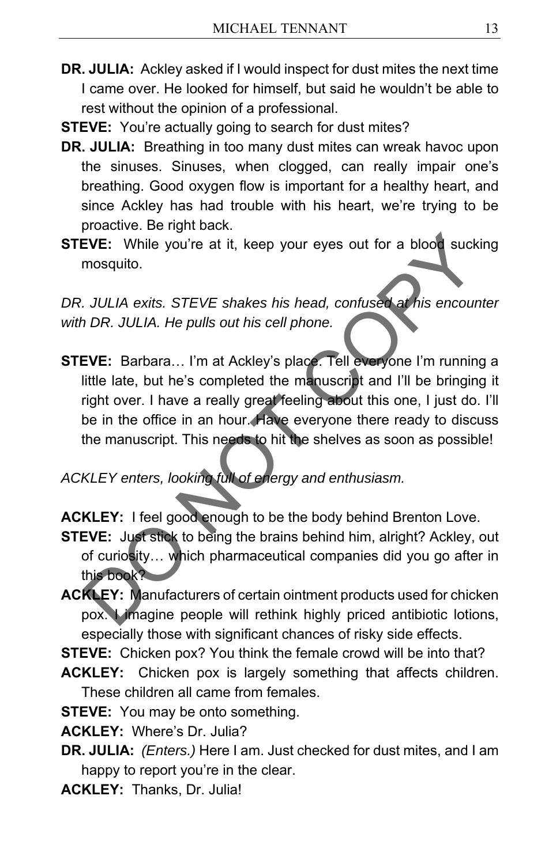- **DR. JULIA:** Ackley asked if I would inspect for dust mites the next time I came over. He looked for himself, but said he wouldn't be able to rest without the opinion of a professional.
- **STEVE:** You're actually going to search for dust mites?
- **DR. JULIA:** Breathing in too many dust mites can wreak havoc upon the sinuses. Sinuses, when clogged, can really impair one's breathing. Good oxygen flow is important for a healthy heart, and since Ackley has had trouble with his heart, we're trying to be proactive. Be right back.
- **STEVE:** While you're at it, keep your eyes out for a blood sucking mosquito.

DR. JULIA exits. STEVE shakes his head, confused at his encounter *with DR. JULIA. He pulls out his cell phone.* 

**STEVE:** Barbara… I'm at Ackley's place. Tell everyone I'm running a little late, but he's completed the manuscript and I'll be bringing it right over. I have a really great feeling about this one, I just do. I'll be in the office in an hour. Have everyone there ready to discuss the manuscript. This needs to hit the shelves as soon as possible! EVE: While you're at it, keep your eyes out for a blood sucking<br>mosquito.<br>
JULIA exits. STEVE shakes his head, confused at his encounte<br>
DR. JULIA. He pulls out his cell phone.<br>
EVE: Barbara... I'm at Ackley's place. Tell

*ACKLEY enters, looking full of energy and enthusiasm.* 

**ACKLEY:** I feel good enough to be the body behind Brenton Love.

- **STEVE:** Just stick to being the brains behind him, alright? Ackley, out of curiosity… which pharmaceutical companies did you go after in this book?
- **ACKLEY:** Manufacturers of certain ointment products used for chicken pox. I imagine people will rethink highly priced antibiotic lotions, especially those with significant chances of risky side effects.

**STEVE:** Chicken pox? You think the female crowd will be into that?

**ACKLEY:** Chicken pox is largely something that affects children. These children all came from females.

**STEVE:** You may be onto something.

**ACKLEY:** Where's Dr. Julia?

**DR. JULIA:** *(Enters.)* Here I am. Just checked for dust mites, and I am happy to report you're in the clear.

**ACKLEY:** Thanks, Dr. Julia!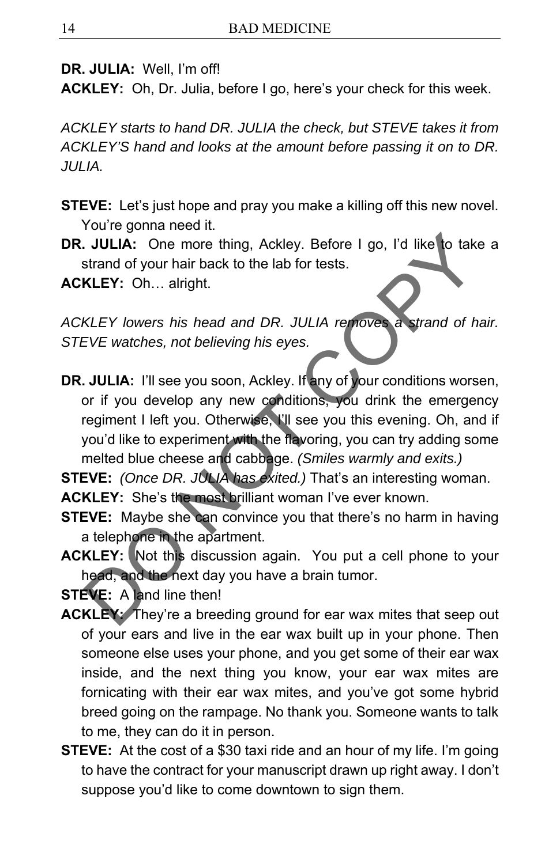**DR. JULIA:** Well, I'm off!

**ACKLEY:** Oh, Dr. Julia, before I go, here's your check for this week.

*ACKLEY starts to hand DR. JULIA the check, but STEVE takes it from ACKLEY'S hand and looks at the amount before passing it on to DR. JULIA.* 

- **STEVE:** Let's just hope and pray you make a killing off this new novel. You're gonna need it.
- **DR. JULIA:** One more thing, Ackley. Before I go, I'd like to take a strand of your hair back to the lab for tests.

**ACKLEY:** Oh… alright.

*ACKLEY lowers his head and DR. JULIA removes a strand of hair. STEVE watches, not believing his eyes.* 

**DR. JULIA:** I'll see you soon, Ackley. If any of your conditions worsen, or if you develop any new conditions, you drink the emergency regiment I left you. Otherwise, I'll see you this evening. Oh, and if you'd like to experiment with the flavoring, you can try adding some melted blue cheese and cabbage. *(Smiles warmly and exits.)*  **CONTAINT:** One more thing, Ackley. Before I go, I'd like to take a<br>strand of your hair back to the lab for tests.<br>**KLEY:** Oh... alright.<br>**KLEY** lowers his head and DR. JULIA removes a strand of hail<br>EVE watches, not beli

**STEVE:** *(Once DR. JULIA has exited.)* That's an interesting woman.

**ACKLEY:** She's the most brilliant woman I've ever known.

- **STEVE:** Maybe she can convince you that there's no harm in having a telephone in the apartment.
- **ACKLEY:** Not this discussion again. You put a cell phone to your head, and the next day you have a brain tumor.

**STEVE:** A land line then!

- **ACKLEY:** They're a breeding ground for ear wax mites that seep out of your ears and live in the ear wax built up in your phone. Then someone else uses your phone, and you get some of their ear wax inside, and the next thing you know, your ear wax mites are fornicating with their ear wax mites, and you've got some hybrid breed going on the rampage. No thank you. Someone wants to talk to me, they can do it in person.
- **STEVE:** At the cost of a \$30 taxi ride and an hour of my life. I'm going to have the contract for your manuscript drawn up right away. I don't suppose you'd like to come downtown to sign them.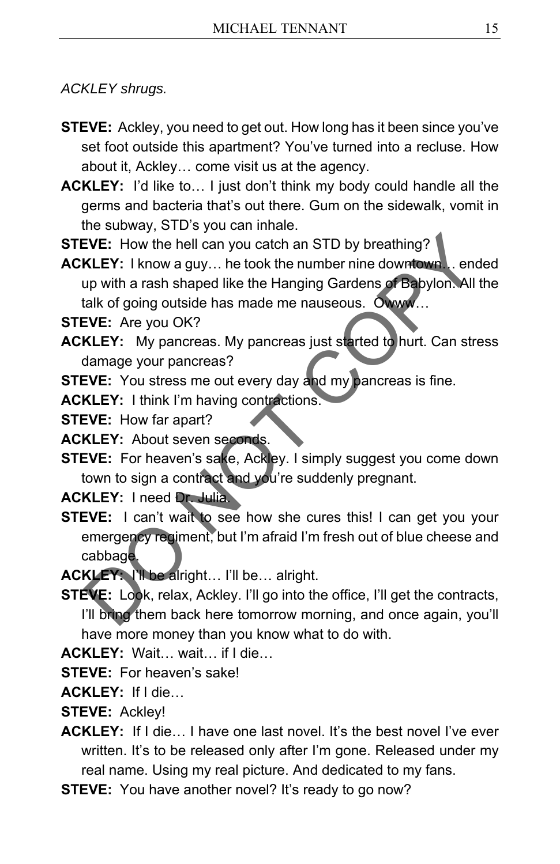*ACKLEY shrugs.* 

- **STEVE:** Ackley, you need to get out. How long has it been since you've set foot outside this apartment? You've turned into a recluse. How about it, Ackley… come visit us at the agency.
- **ACKLEY:** I'd like to… I just don't think my body could handle all the germs and bacteria that's out there. Gum on the sidewalk, vomit in the subway, STD's you can inhale.
- **STEVE:** How the hell can you catch an STD by breathing?
- **ACKLEY:** I know a guy… he took the number nine downtown… ended up with a rash shaped like the Hanging Gardens of Babylon. All the talk of going outside has made me nauseous. Owww…

**STEVE:** Are you OK?

- **ACKLEY:** My pancreas. My pancreas just started to hurt. Can stress damage your pancreas?
- **STEVE:** You stress me out every day and my pancreas is fine.
- **ACKLEY:** I think I'm having contractions.

**STEVE:** How far apart?

**ACKLEY:** About seven seconds.

**STEVE:** For heaven's sake, Ackley. I simply suggest you come down town to sign a contract and you're suddenly pregnant.

**ACKLEY:** I need Dr. Julia.

- **STEVE:** I can't wait to see how she cures this! I can get you your emergency regiment, but I'm afraid I'm fresh out of blue cheese and cabbage. EVE: How the hell can you catch an STD by breathing?<br>KLEY: I know a guy... he took the number nine downtown... ender<br>up with a rash shaped like the Hanging Gardens of Babylon. All the<br>lake of going outside has made me naus
- **ACKLEY:** I'll be alright… I'll be… alright.
- **STEVE:** Look, relax, Ackley. I'll go into the office, I'll get the contracts, I'll bring them back here tomorrow morning, and once again, you'll have more money than you know what to do with.

**ACKLEY:** Wait… wait… if I die…

**STEVE:** For heaven's sake!

**ACKLEY:** If I die…

**STEVE:** Ackley!

- **ACKLEY:** If I die L have one last novel. It's the best novel I've ever written. It's to be released only after I'm gone. Released under my real name. Using my real picture. And dedicated to my fans.
- **STEVE:** You have another novel? It's ready to go now?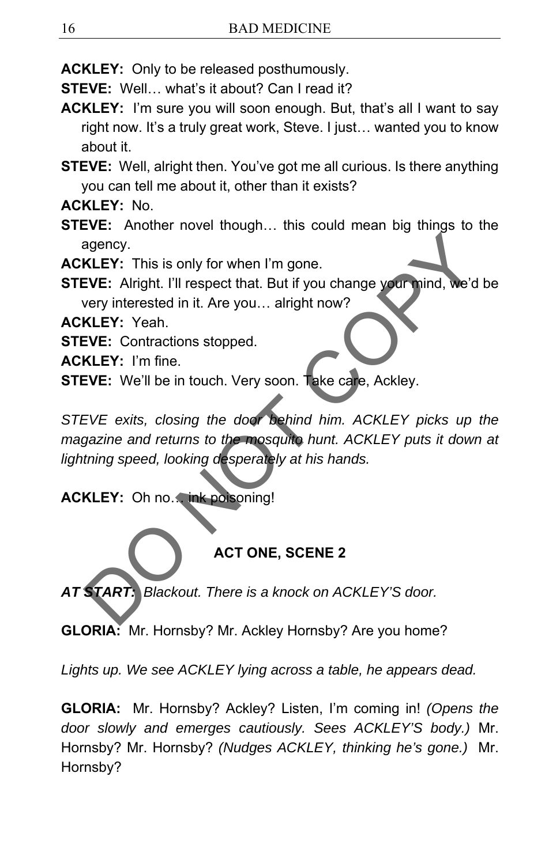**ACKLEY:** Only to be released posthumously.

**STEVE:** Well… what's it about? Can I read it?

**ACKLEY:** I'm sure you will soon enough. But, that's all I want to say right now. It's a truly great work, Steve. I just… wanted you to know about it.

**STEVE:** Well, alright then. You've got me all curious. Is there anything you can tell me about it, other than it exists?

**ACKLEY:** No.

**STEVE:** Another novel though… this could mean big things to the agency.

**ACKLEY:** This is only for when I'm gone.

**STEVE:** Alright. I'll respect that. But if you change your mind, we'd be

very interested in it. Are you… alright now?

**ACKLEY:** Yeah.

**STEVE:** Contractions stopped.

**ACKLEY:** I'm fine.

**STEVE:** We'll be in touch. Very soon. Take care, Ackley.

*STEVE exits, closing the door behind him. ACKLEY picks up the magazine and returns to the mosquito hunt. ACKLEY puts it down at lightning speed, looking desperately at his hands.*  RESERVED This is only for when I'm gone.<br>
EVE: Alright. I'll respect that. But if you change your nind, we'd be<br>
very interested in it. Are you... alright now?<br>
KLEY: Yeah.<br>
EVE: Contractions stopped.<br>
EVE: We'll be in tou

# **ACKLEY:** Oh no. ink poisoning!

# **ACT ONE, SCENE 2**

*AT START: Blackout. There is a knock on ACKLEY'S door.* 

**GLORIA:** Mr. Hornsby? Mr. Ackley Hornsby? Are you home?

*Lights up. We see ACKLEY lying across a table, he appears dead.* 

**GLORIA:** Mr. Hornsby? Ackley? Listen, I'm coming in! *(Opens the door slowly and emerges cautiously. Sees ACKLEY'S body.)* Mr. Hornsby? Mr. Hornsby? *(Nudges ACKLEY, thinking he's gone.)*Mr. Hornsby?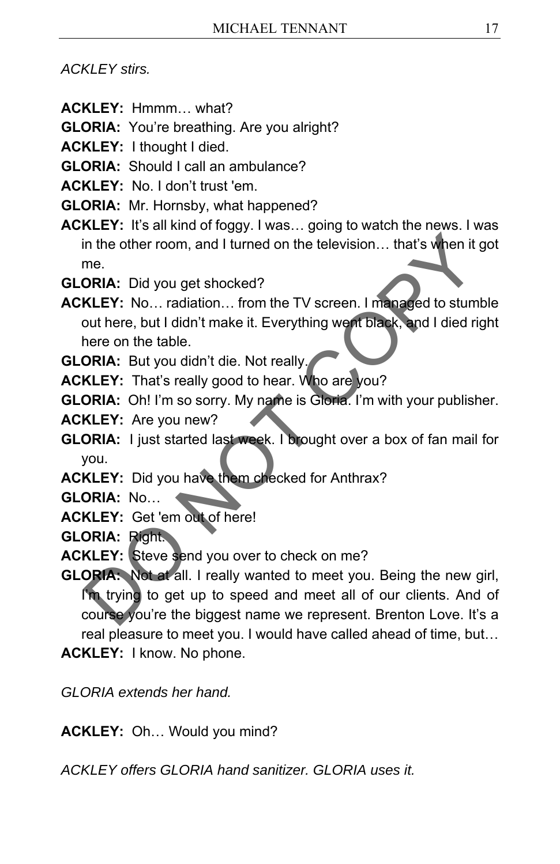#### *ACKLEY stirs.*

- **ACKLEY:** Hmmm… what?
- **GLORIA:** You're breathing. Are you alright?
- **ACKLEY:** I thought I died.
- **GLORIA:** Should I call an ambulance?
- **ACKLEY:** No. I don't trust 'em.
- **GLORIA:** Mr. Hornsby, what happened?
- **ACKLEY:** It's all kind of foggy. I was… going to watch the news. I was in the other room, and I turned on the television… that's when it got me.
- **GLORIA:** Did you get shocked?
- **ACKLEY:** No… radiation… from the TV screen. I managed to stumble out here, but I didn't make it. Everything went black, and I died right here on the table.
- **GLORIA:** But you didn't die. Not really.
- **ACKLEY:** That's really good to hear. Who are you?
- **GLORIA:** Oh! I'm so sorry. My name is Gloria. I'm with your publisher.
- **ACKLEY:** Are you new?
- **GLORIA:** I just started last week. I brought over a box of fan mail for you.
- **ACKLEY:** Did you have them checked for Anthrax?
- **GLORIA:** No…
- **ACKLEY:** Get 'em out of here!
- **GLORIA:** Right.
- **ACKLEY:** Steve send you over to check on me?
- **GLORIA:** Not at all. I really wanted to meet you. Being the new girl, I'm trying to get up to speed and meet all of our clients. And of course you're the biggest name we represent. Brenton Love. It's a real pleasure to meet you. I would have called ahead of time, but… **ACKLEY:** I know. No phone. in the other room, and I turned on the television.... that's when it go<br>
ORIA: Did you get shocked?<br>
KLEY: No... radiation... from the TV screen. I managed to stumble<br>
out here, but I didn't make it. Everything went black,

*GLORIA extends her hand.* 

**ACKLEY:** Oh… Would you mind?

*ACKLEY offers GLORIA hand sanitizer. GLORIA uses it.*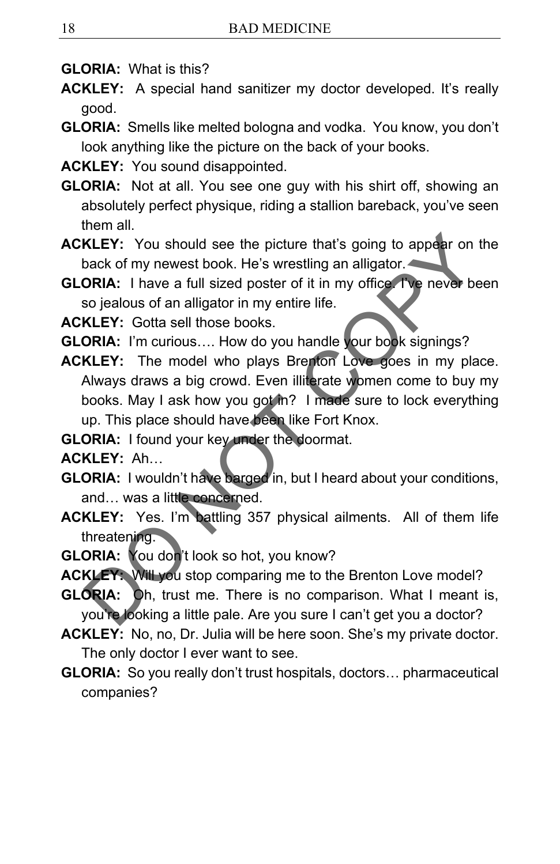- **GLORIA:** What is this?
- **ACKLEY:** A special hand sanitizer my doctor developed. It's really good.
- **GLORIA:** Smells like melted bologna and vodka. You know, you don't look anything like the picture on the back of your books.
- **ACKLEY:** You sound disappointed.
- **GLORIA:** Not at all. You see one guy with his shirt off, showing an absolutely perfect physique, riding a stallion bareback, you've seen them all.
- **ACKLEY:** You should see the picture that's going to appear on the back of my newest book. He's wrestling an alligator.
- **GLORIA:** I have a full sized poster of it in my office. I've never been so jealous of an alligator in my entire life.
- **ACKLEY:** Gotta sell those books.
- **GLORIA:** I'm curious…. How do you handle your book signings?
- **ACKLEY:** The model who plays Brenton Love goes in my place. Always draws a big crowd. Even illiterate women come to buy my books. May I ask how you got in? I made sure to lock everything up. This place should have been like Fort Knox. KLEY: You should see the picture that's going to appear on the<br>back of my newest book. He's wrestling an alligator.<br>
ORIA: I have a full sized poster of it in my office The never beer<br>
so jealous of an alligator in my enti
- **GLORIA:** I found your key under the doormat.

**ACKLEY:** Ah…

- **GLORIA:** I wouldn't have barged in, but I heard about your conditions, and... was a little concerned.
- **ACKLEY:** Yes. I'm battling 357 physical ailments. All of them life threatening.
- **GLORIA:** You don't look so hot, you know?
- **ACKLEY:** Will you stop comparing me to the Brenton Love model?
- **GLORIA:** Oh, trust me. There is no comparison. What I meant is, you're looking a little pale. Are you sure I can't get you a doctor?
- **ACKLEY:** No, no, Dr. Julia will be here soon. She's my private doctor. The only doctor I ever want to see.
- **GLORIA:** So you really don't trust hospitals, doctors… pharmaceutical companies?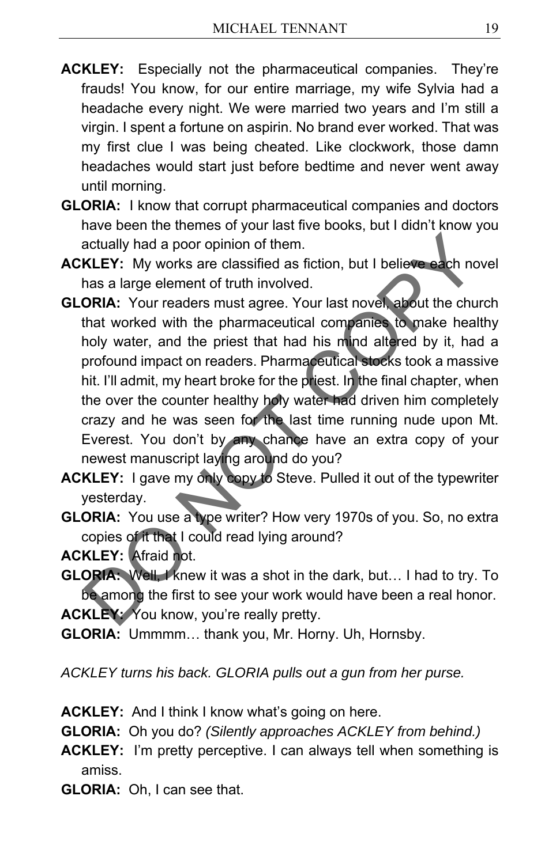- **ACKLEY:** Especially not the pharmaceutical companies. They're frauds! You know, for our entire marriage, my wife Sylvia had a headache every night. We were married two years and I'm still a virgin. I spent a fortune on aspirin. No brand ever worked. That was my first clue I was being cheated. Like clockwork, those damn headaches would start just before bedtime and never went away until morning.
- **GLORIA:** I know that corrupt pharmaceutical companies and doctors have been the themes of your last five books, but I didn't know you actually had a poor opinion of them.
- **ACKLEY:** My works are classified as fiction, but I believe each novel has a large element of truth involved.
- **GLORIA:** Your readers must agree. Your last novel, about the church that worked with the pharmaceutical companies to make healthy holy water, and the priest that had his mind altered by it, had a profound impact on readers. Pharmaceutical stocks took a massive hit. I'll admit, my heart broke for the priest. In the final chapter, when the over the counter healthy holy water had driven him completely crazy and he was seen for the last time running nude upon Mt. Everest. You don't by any chance have an extra copy of your newest manuscript laying around do you? actually had a poor opinion of them.<br> **KLEY:** My works are classified as fiction, but I believe each nove<br>
has a large element of truth involved.<br> **ORIA:** Your readers must agree. Your last novel, about the churcl<br>
that wo
- **ACKLEY:** I gave my only copy to Steve. Pulled it out of the typewriter yesterday.
- **GLORIA:** You use a type writer? How very 1970s of you. So, no extra copies of it that I could read lying around?

**ACKLEY:** Afraid not.

**GLORIA:** Well, I knew it was a shot in the dark, but… I had to try. To be among the first to see your work would have been a real honor. ACKLEY: You know, you're really pretty.

**GLORIA:** Ummmm… thank you, Mr. Horny. Uh, Hornsby.

*ACKLEY turns his back. GLORIA pulls out a gun from her purse.* 

- **ACKLEY:** And I think I know what's going on here.
- **GLORIA:** Oh you do? *(Silently approaches ACKLEY from behind.)*
- **ACKLEY:** I'm pretty perceptive. I can always tell when something is amiss.
- **GLORIA:** Oh, I can see that.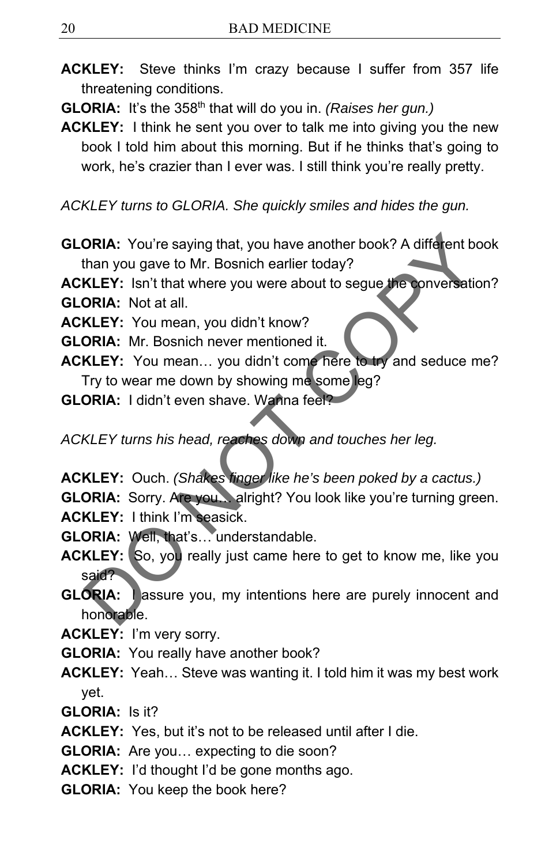**ACKLEY:** Steve thinks I'm crazy because I suffer from 357 life threatening conditions.

**GLORIA:** It's the 358th that will do you in. *(Raises her gun.)*

**ACKLEY:** I think he sent you over to talk me into giving you the new book I told him about this morning. But if he thinks that's going to work, he's crazier than I ever was. I still think you're really pretty.

*ACKLEY turns to GLORIA. She quickly smiles and hides the gun.* 

**GLORIA:** You're saying that, you have another book? A different book than you gave to Mr. Bosnich earlier today?

**ACKLEY:** Isn't that where you were about to segue the conversation?

**GLORIA:** Not at all.

**ACKLEY:** You mean, you didn't know?

**GLORIA:** Mr. Bosnich never mentioned it.

- **ACKLEY:** You mean… you didn't come here to try and seduce me? Try to wear me down by showing me some leg?
- **GLORIA:** I didn't even shave. Wanna feel?

*ACKLEY turns his head, reaches down and touches her leg.* 

- **ACKLEY:** Ouch. *(Shakes finger like he's been poked by a cactus.)*
- **GLORIA:** Sorry. Are you... alright? You look like you're turning green.
- **ACKLEY:** I think I'm seasick.
- **GLORIA:** Well, that's… understandable.
- **ACKLEY:** So, you really just came here to get to know me, like you said?
- **GLORIA:** lassure you, my intentions here are purely innocent and honorable. **ORIA:** You're saying that, you have another book? A different book<br>
than you gave to Mr. Bosnich earlier today?<br> **KLEY:** Isn't that where you were about to segue the conversation'<br> **ORIA:** Not at all.<br> **KLEY:** You mean...
- **ACKLEY:** I'm very sorry.
- **GLORIA:** You really have another book?
- **ACKLEY:** Yeah… Steve was wanting it. I told him it was my best work yet.
- **GLORIA:** Is it?
- **ACKLEY:** Yes, but it's not to be released until after I die.
- **GLORIA:** Are you… expecting to die soon?
- **ACKLEY:** I'd thought I'd be gone months ago.
- **GLORIA:** You keep the book here?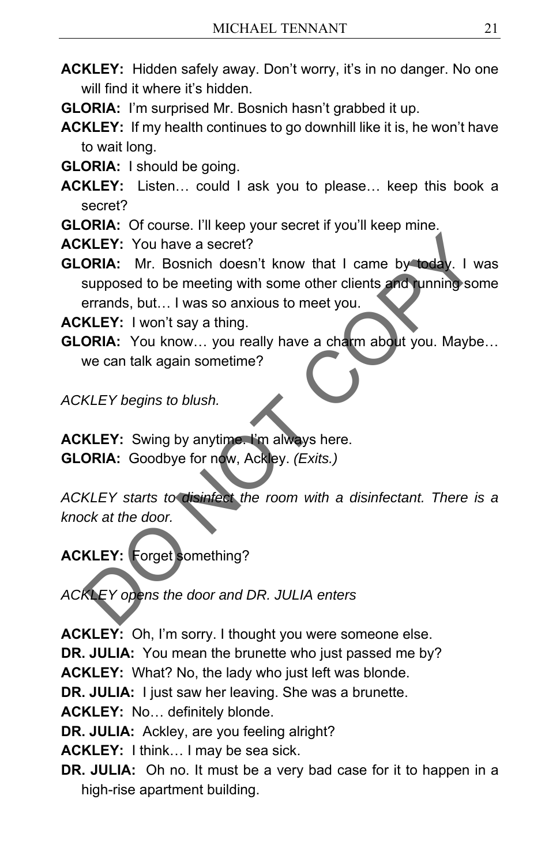- **ACKLEY:** Hidden safely away. Don't worry, it's in no danger. No one will find it where it's hidden
- **GLORIA:** I'm surprised Mr. Bosnich hasn't grabbed it up.

**ACKLEY:** If my health continues to go downhill like it is, he won't have to wait long.

- **GLORIA:** I should be going.
- **ACKLEY:** Listen… could I ask you to please… keep this book a secret?
- **GLORIA:** Of course. I'll keep your secret if you'll keep mine.
- **ACKLEY:** You have a secret?
- **GLORIA:** Mr. Bosnich doesn't know that I came by today. I was supposed to be meeting with some other clients and running some errands, but… I was so anxious to meet you. XLEY: You have a secret?<br>
ORIA: Mr. Bosnich doesn't know that I came by today. I was<br>
supposed to be meeting with some other clients and unning some<br>
rerands, but... I was so anxious to meet you.<br>
XLEY: I won't say a thing

**ACKLEY:** I won't say a thing.

**GLORIA:** You know... you really have a charm about you. Maybe... we can talk again sometime?

*ACKLEY begins to blush.* 

**ACKLEY:** Swing by anytime. I'm always here. **GLORIA:** Goodbye for now, Ackley. *(Exits.)* 

*ACKLEY starts to disinfect the room with a disinfectant. There is a knock at the door.* 

**ACKLEY:** Forget something?

*ACKLEY opens the door and DR. JULIA enters* 

**ACKLEY:** Oh, I'm sorry. I thought you were someone else.

**DR. JULIA:** You mean the brunette who just passed me by?

**ACKLEY:** What? No, the lady who just left was blonde.

**DR. JULIA:** I just saw her leaving. She was a brunette.

**ACKLEY:** No… definitely blonde.

**DR. JULIA:** Ackley, are you feeling alright?

**ACKLEY:** I think… I may be sea sick.

**DR. JULIA:** Oh no. It must be a very bad case for it to happen in a high-rise apartment building.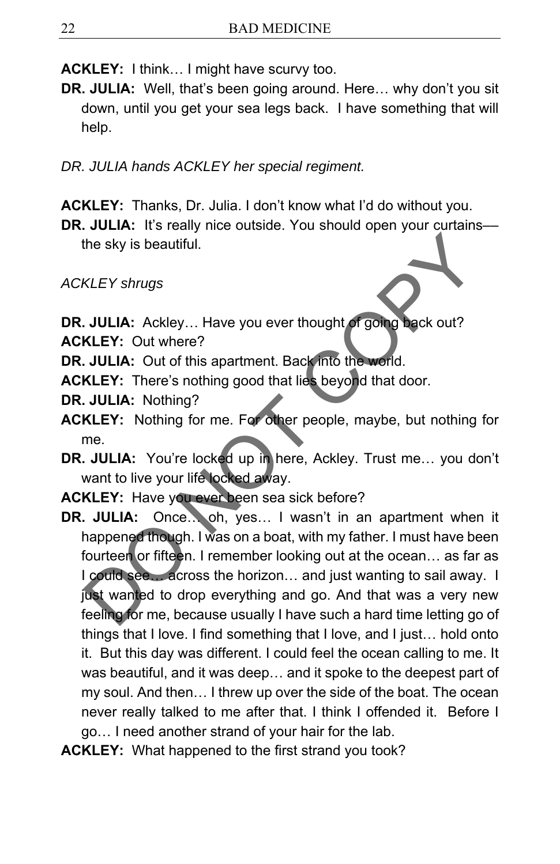**ACKLEY:** I think… I might have scurvy too.

**DR. JULIA:** Well, that's been going around. Here… why don't you sit down, until you get your sea legs back. I have something that will help.

*DR. JULIA hands ACKLEY her special regiment.* 

**ACKLEY:** Thanks, Dr. Julia. I don't know what I'd do without you.

**DR. JULIA:** It's really nice outside. You should open your curtains the sky is beautiful.

*ACKLEY shrugs* 

**DR. JULIA:** Ackley... Have you ever thought of going back out?

- **ACKLEY:** Out where?
- **DR. JULIA:** Out of this apartment. Back into the world.
- **ACKLEY:** There's nothing good that lies beyond that door.
- **DR. JULIA:** Nothing?
- **ACKLEY:** Nothing for me. For other people, maybe, but nothing for me.
- **DR. JULIA:** You're locked up in here, Ackley. Trust me… you don't want to live your life locked away.
- **ACKLEY:** Have you ever been sea sick before?
- **DR. JULIA:** Once… oh, yes… I wasn't in an apartment when it happened though. I was on a boat, with my father. I must have been fourteen or fifteen. I remember looking out at the ocean… as far as I could see. across the horizon... and just wanting to sail away. I just wanted to drop everything and go. And that was a very new feeling for me, because usually I have such a hard time letting go of things that I love. I find something that I love, and I just… hold onto it. But this day was different. I could feel the ocean calling to me. It was beautiful, and it was deep… and it spoke to the deepest part of my soul. And then… I threw up over the side of the boat. The ocean never really talked to me after that. I think I offended it. Before I go… I need another strand of your hair for the lab. KLEY shrugs<br>
XLEY shrugs<br>
XLEY shrugs<br>
DULIA: Ackley... Have you ever thought of going back out?<br>
XLEY: Out where?<br>
JULIA: Out of this apartment. Back into the world.<br>
XLEY: There's nothing good that lies beyond that door.
- **ACKLEY:** What happened to the first strand you took?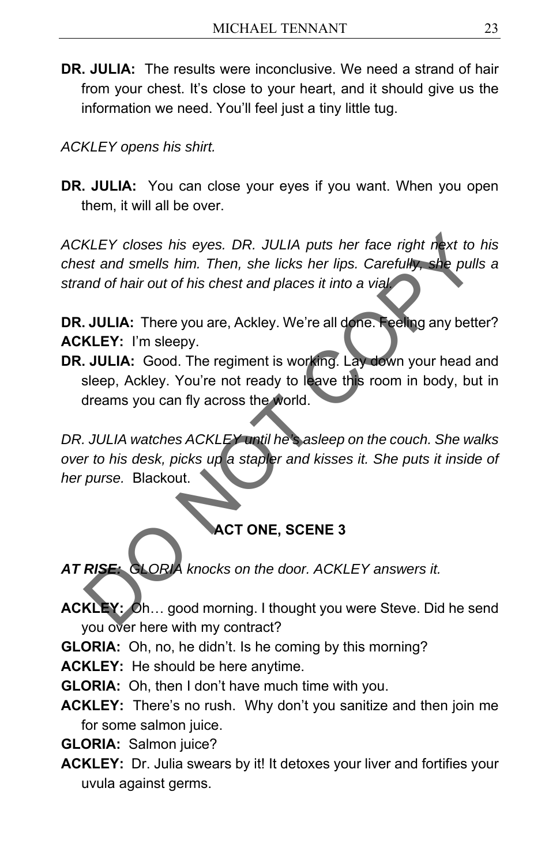**DR. JULIA:** The results were inconclusive. We need a strand of hair from your chest. It's close to your heart, and it should give us the information we need. You'll feel just a tiny little tug.

*ACKLEY opens his shirt.* 

**DR. JULIA:** You can close your eyes if you want. When you open them, it will all be over.

*ACKLEY closes his eyes. DR. JULIA puts her face right next to his chest and smells him. Then, she licks her lips. Carefully, she pulls a strand of hair out of his chest and places it into a vial.*  XLEY closes his eyes. DR. JULIA puts her face right next to hist and smells him. Then, she licks her lips. Carefully, she pulls and of hair out of his chest and places it into a via<br> **OULIA:** There you are, Ackley. We're a

**DR. JULIA:** There you are, Ackley. We're all done. Feeling any better? **ACKLEY:** I'm sleepy.

**DR. JULIA:** Good. The regiment is working. Lay down your head and sleep, Ackley. You're not ready to leave this room in body, but in dreams you can fly across the world.

*DR. JULIA watches ACKLEY until he's asleep on the couch. She walks over to his desk, picks up a stapler and kisses it. She puts it inside of her purse.* Blackout.

# **ACT ONE, SCENE 3**

*AT RISE: GLORIA knocks on the door. ACKLEY answers it.* 

- **ACKLEY:** Oh… good morning. I thought you were Steve. Did he send you over here with my contract?
- **GLORIA:** Oh, no, he didn't. Is he coming by this morning?

**ACKLEY:** He should be here anytime.

- **GLORIA:** Oh, then I don't have much time with you.
- **ACKLEY:** There's no rush. Why don't you sanitize and then join me for some salmon juice.

**GLORIA:** Salmon juice?

**ACKLEY:** Dr. Julia swears by it! It detoxes your liver and fortifies your uvula against germs.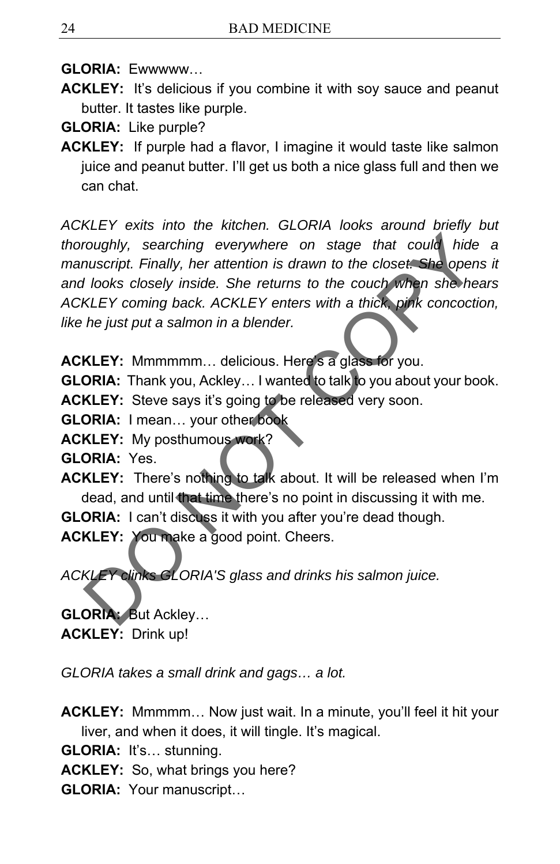**GLORIA:** Ewwwww…

**ACKLEY:** It's delicious if you combine it with soy sauce and peanut butter. It tastes like purple.

**GLORIA:** Like purple?

**ACKLEY:** If purple had a flavor, I imagine it would taste like salmon juice and peanut butter. I'll get us both a nice glass full and then we can chat.

*ACKLEY exits into the kitchen. GLORIA looks around briefly but thoroughly, searching everywhere on stage that could hide a manuscript. Finally, her attention is drawn to the closet. She opens it and looks closely inside. She returns to the couch when she hears ACKLEY coming back. ACKLEY enters with a thick, pink concoction, like he just put a salmon in a blender.*  roughly, searching everywhere on stage that could hide in<br>the muscript. Finally, her attention is drawn to the closet. She opens<br>I looks closely inside. She returns to the couch when she hear<br>KLEY coming back. ACKLEY enter

**ACKLEY:** Mmmmmm… delicious. Here's a glass for you.

**GLORIA:** Thank you, Ackley... I wanted to talk to you about your book.

**ACKLEY:** Steve says it's going to be released very soon.

**GLORIA:** I mean… your other book

**ACKLEY:** My posthumous work?

**GLORIA:** Yes.

**ACKLEY:** There's nothing to talk about. It will be released when I'm dead, and until that time there's no point in discussing it with me.

**GLORIA:** I can't discuss it with you after you're dead though.

**ACKLEY:** You make a good point. Cheers.

*ACKLEY clinks GLORIA'S glass and drinks his salmon juice.* 

**GLORIA:** But Ackley… **ACKLEY:** Drink up!

*GLORIA takes a small drink and gags… a lot.* 

**ACKLEY:** Mmmmm… Now just wait. In a minute, you'll feel it hit your liver, and when it does, it will tingle. It's magical.

**GLORIA:** It's… stunning.

**ACKLEY:** So, what brings you here?

**GLORIA:** Your manuscript…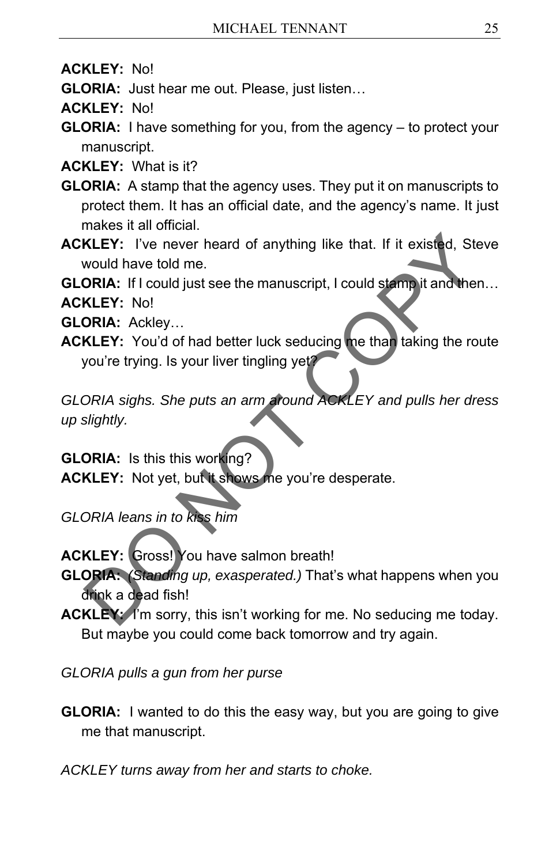- **ACKLEY:** No!
- **GLORIA:** Just hear me out. Please, just listen…
- **ACKLEY:** No!
- **GLORIA:** I have something for you, from the agency to protect your manuscript.
- **ACKLEY:** What is it?
- **GLORIA:** A stamp that the agency uses. They put it on manuscripts to protect them. It has an official date, and the agency's name. It just makes it all official.
- **ACKLEY:** I've never heard of anything like that. If it existed, Steve would have told me.

**GLORIA:** If I could just see the manuscript, I could stamp it and then…

**ACKLEY:** No!

- **GLORIA:** Ackley…
- **ACKLEY:** You'd of had better luck seducing me than taking the route you're trying. Is your liver tingling yet? KLEY: I've never heard of anything like that. If it existed, Steve<br>
would have told me.<br>
ORIA: If I could just see the manuscript, I could stamp it and then..<br>
KLEY: No!<br>
ORIA: Ackley...<br>
KLEY: You'd of had better luck sed

*GLORIA sighs. She puts an arm around ACKLEY and pulls her dress up slightly.* 

**GLORIA:** Is this this working? **ACKLEY:** Not yet, but it shows me you're desperate.

- *GLORIA leans in to kiss him*
- **ACKLEY:** Gross! You have salmon breath!
- **GLORIA:** *(Standing up, exasperated.)* That's what happens when you drink a dead fish!
- **ACKLEY:** I'm sorry, this isn't working for me. No seducing me today. But maybe you could come back tomorrow and try again.
- *GLORIA pulls a gun from her purse*
- **GLORIA:** I wanted to do this the easy way, but you are going to give me that manuscript.
- *ACKLEY turns away from her and starts to choke.*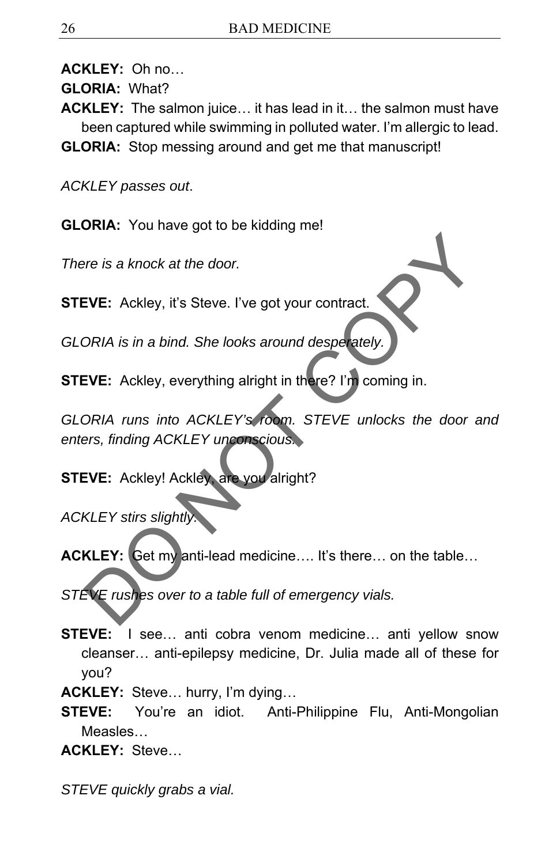**ACKLEY:** Oh no…

**GLORIA:** What?

- **ACKLEY:** The salmon juice… it has lead in it… the salmon must have been captured while swimming in polluted water. I'm allergic to lead.
- **GLORIA:** Stop messing around and get me that manuscript!

*ACKLEY passes out*.

**GLORIA:** You have got to be kidding me!

*There is a knock at the door.* 

**STEVE:** Ackley, it's Steve. I've got your contract.

*GLORIA is in a bind. She looks around desperately.* 

**STEVE:** Ackley, everything alright in there? I'm coming in.

*GLORIA runs into ACKLEY's room. STEVE unlocks the door and enters, finding ACKLEY unconscious.*  Free is a knock at the door.<br>
EVE: Ackley, it's Steve. I've got your contract.<br>
DO RIA is in a bind. She looks around despetately.<br>
EVE: Ackley, everything alright in there? I'm coming in.<br>
DO RIA runs into ACKLEY's room.

**STEVE:**Ackley! Ackley, are you alright?

*ACKLEY stirs slightly.* 

**ACKLEY:** Get my anti-lead medicine…. It's there… on the table…

*STEVE rushes over to a table full of emergency vials.* 

**STEVE:** I see… anti cobra venom medicine… anti yellow snow cleanser… anti-epilepsy medicine, Dr. Julia made all of these for you?

**ACKLEY:** Steve… hurry, I'm dying…

**STEVE:** You're an idiot. Anti-Philippine Flu, Anti-Mongolian Measles…

**ACKLEY:** Steve…

*STEVE quickly grabs a vial.*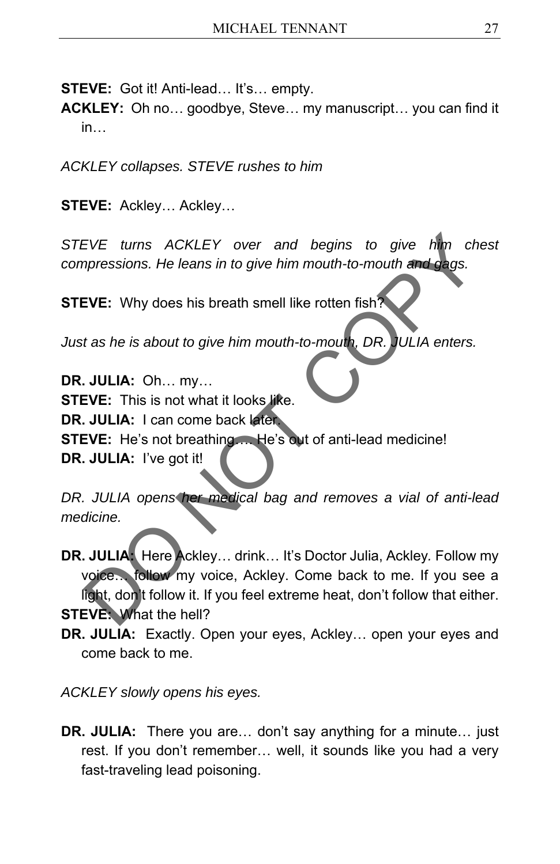**STEVE:** Got it! Anti-lead… It's… empty.

**ACKLEY:** Oh no… goodbye, Steve… my manuscript… you can find it in…

*ACKLEY collapses. STEVE rushes to him* 

**STEVE:** Ackley… Ackley…

*STEVE turns ACKLEY over and begins to give him chest compressions. He leans in to give him mouth-to-mouth and gags.* 

**STEVE:** Why does his breath smell like rotten fish?

*Just as he is about to give him mouth-to-mouth, DR. JULIA enters.* 

**DR. JULIA:** Oh… my… **STEVE:** This is not what it looks like. **DR. JULIA:** I can come back later. **STEVE:** He's not breathing…. He's out of anti-lead medicine! **DR. JULIA:** I've got it! EVE turns ACKLEY over and begins to give the cherogressions. He leans in to give him mouth-to-mouth and gags.<br>
EVE: Why does his breath smell like rotten fish?<br>
t as he is about to give him mouth-to-mouth, DR. JULIA enters

*DR. JULIA opens her medical bag and removes a vial of anti-lead medicine.* 

**DR. JULIA:** Here Ackley… drink… It's Doctor Julia, Ackley*.* Follow my voice… follow my voice, Ackley. Come back to me. If you see a light, don't follow it. If you feel extreme heat, don't follow that either. **STEVE:** What the hell?

**DR. JULIA:** Exactly. Open your eyes, Ackley… open your eyes and come back to me.

*ACKLEY slowly opens his eyes.* 

**DR. JULIA:** There you are… don't say anything for a minute… just rest. If you don't remember… well, it sounds like you had a very fast-traveling lead poisoning.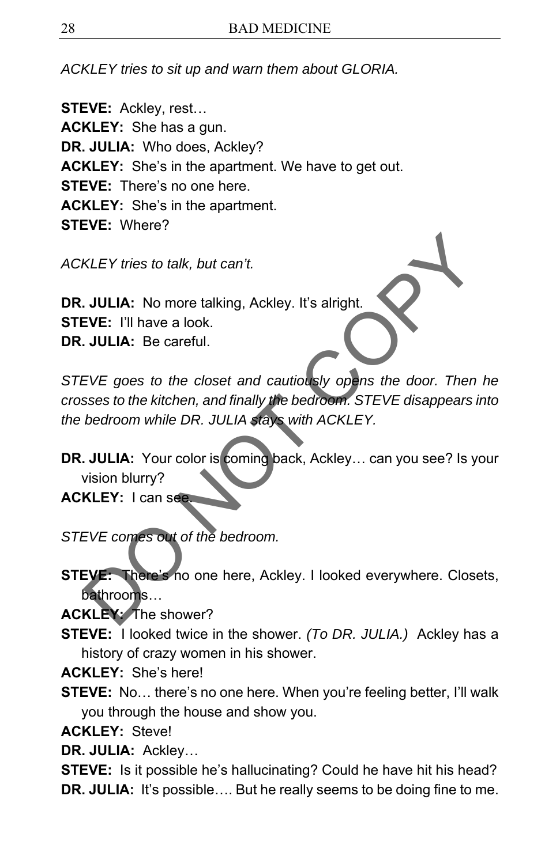*ACKLEY tries to sit up and warn them about GLORIA.* 

**STEVE:** Ackley, rest… **ACKLEY:** She has a gun. **DR. JULIA:** Who does, Ackley? **ACKLEY:** She's in the apartment. We have to get out. **STEVE:** There's no one here **ACKLEY:** She's in the apartment. **STEVE:** Where?

*ACKLEY tries to talk, but can't.* 

**DR. JULIA:** No more talking, Ackley. It's alright. **STEVE:** I'll have a look. **DR. JULIA:** Be careful.

*STEVE goes to the closet and cautiously opens the door. Then he crosses to the kitchen, and finally the bedroom. STEVE disappears into the bedroom while DR. JULIA stays with ACKLEY.*  KLEY tries to talk, but can't.<br>
JULIA: No more talking, Ackley. It's alright.<br>
JULIA: Be careful.<br>
EVE: I'll have a look.<br>
JULIA: Se careful.<br>
EVE goes to the closet and cautiously opens the door. Then has<br>
ses to the kitc

**DR. JULIA:** Your color is coming back, Ackley... can you see? Is your vision blurry?

**ACKLEY:** I can see.

*STEVE comes out of the bedroom.* 

**STEVE:** There's no one here, Ackley. I looked everywhere. Closets, bathrooms…

**ACKLEY:** The shower?

**STEVE:** I looked twice in the shower. *(To DR. JULIA.)* Ackley has a history of crazy women in his shower.

**ACKLEY:** She's here!

**STEVE:** No... there's no one here. When you're feeling better, I'll walk you through the house and show you.

**ACKLEY:** Steve!

**DR. JULIA:** Ackley…

**STEVE:** Is it possible he's hallucinating? Could he have hit his head? **DR. JULIA:** It's possible.... But he really seems to be doing fine to me.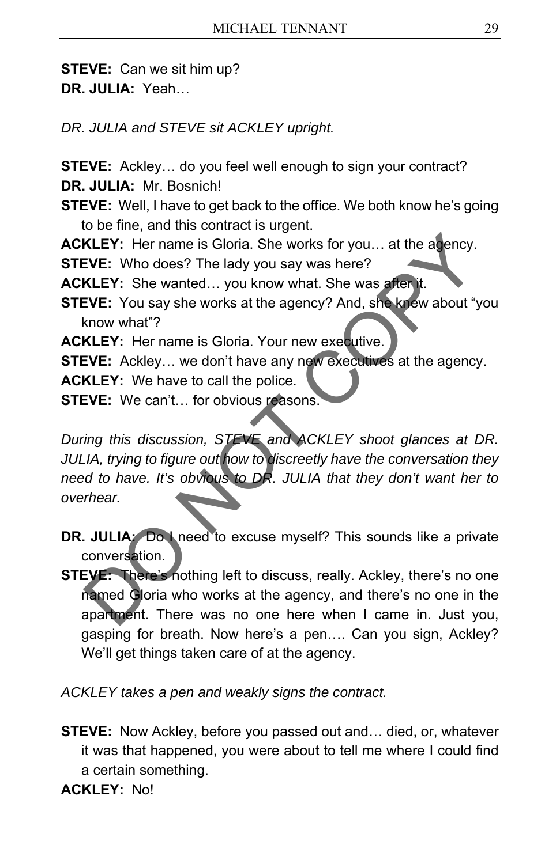**STEVE:** Can we sit him up? **DR. JULIA:** Yeah…

*DR. JULIA and STEVE sit ACKLEY upright.* 

**STEVE:** Ackley… do you feel well enough to sign your contract? **DR. JULIA:** Mr. Bosnich!

**STEVE:** Well, I have to get back to the office. We both know he's going to be fine, and this contract is urgent.

**ACKLEY:** Her name is Gloria. She works for you… at the agency.

**STEVE:** Who does? The lady you say was here?

**ACKLEY:** She wanted… you know what. She was after it.

**STEVE:** You say she works at the agency? And, she knew about "you know what"?

**ACKLEY:** Her name is Gloria. Your new executive.

**STEVE:** Ackley… we don't have any new executives at the agency.

**ACKLEY:** We have to call the police.

**STEVE:** We can't… for obvious reasons.

*During this discussion, STEVE and ACKLEY shoot glances at DR. JULIA, trying to figure out how to discreetly have the conversation they need to have. It's obvious to DR. JULIA that they don't want her to overhear.*  KLEY: Her name is Gloria. She works for you... at the agency.<br>
EVE: Who does? The lady you say was here?<br>
KLEY: She wanted... you know what. She was after it.<br>
EVE: You say she works at the agency? And, she knew about "you

- **DR. JULIA:** Do I need to excuse myself? This sounds like a private conversation.
- **STEVE:** There's nothing left to discuss, really. Ackley, there's no one named Gloria who works at the agency, and there's no one in the apartment. There was no one here when I came in. Just you, gasping for breath. Now here's a pen…. Can you sign, Ackley? We'll get things taken care of at the agency.

*ACKLEY takes a pen and weakly signs the contract.* 

**STEVE:** Now Ackley, before you passed out and… died, or, whatever it was that happened, you were about to tell me where I could find a certain something.

**ACKLEY:** No!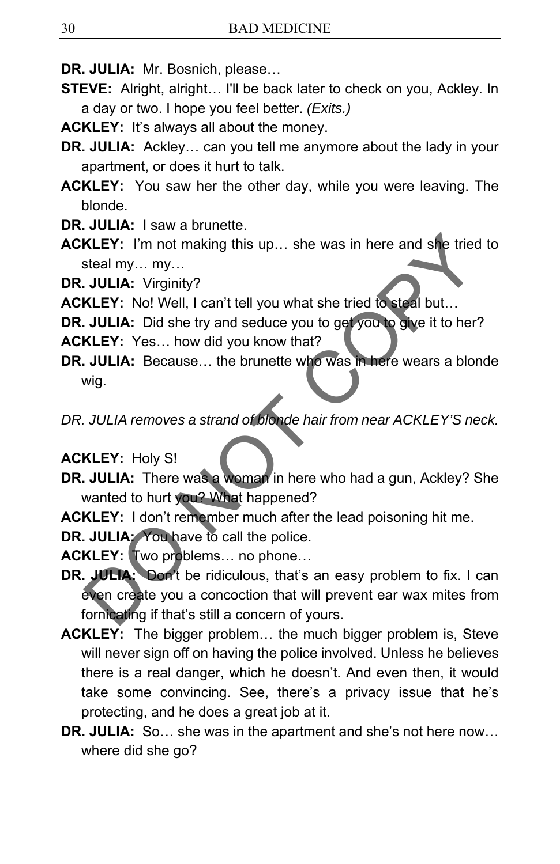- **DR. JULIA:** Mr. Bosnich, please…
- **STEVE:** Alright, alright… I'll be back later to check on you, Ackley. In a day or two. I hope you feel better. *(Exits.)*
- **ACKLEY:** It's always all about the money.
- **DR. JULIA:** Ackley… can you tell me anymore about the lady in your apartment, or does it hurt to talk.
- **ACKLEY:** You saw her the other day, while you were leaving. The blonde.
- **DR. JULIA:** I saw a brunette.
- **ACKLEY:** I'm not making this up… she was in here and she tried to steal my… my…

**DR. JULIA:** Virginity?

- **ACKLEY:** No! Well, I can't tell you what she tried to steal but…
- **DR. JULIA:** Did she try and seduce you to get you to give it to her?
- **ACKLEY:** Yes… how did you know that?
- **DR. JULIA:** Because… the brunette who was in here wears a blonde wig.

*DR. JULIA removes a strand of blonde hair from near ACKLEY'S neck.* 

#### **ACKLEY:** Holy S!

- **DR. JULIA:** There was a woman in here who had a gun, Ackley? She wanted to hurt you? What happened?
- **ACKLEY:** I don't remember much after the lead poisoning hit me.
- **DR. JULIA:** You have to call the police.
- **ACKLEY:** Two problems… no phone…
- **DR. JULIA:** Don't be ridiculous, that's an easy problem to fix. I can even create you a concoction that will prevent ear wax mites from fornicating if that's still a concern of yours. KLEY: I'm not making this up... she was in here and she tried to<br>steal my... my...<br>
JULIA: Virginity?<br>
KLEY: No! Well, I can't tell you what she tried to steal but...<br>
JULIA: Did she try and seduce you to get you to give i
- **ACKLEY:** The bigger problem… the much bigger problem is, Steve will never sign off on having the police involved. Unless he believes there is a real danger, which he doesn't. And even then, it would take some convincing. See, there's a privacy issue that he's protecting, and he does a great job at it.
- **DR. JULIA:** So… she was in the apartment and she's not here now… where did she go?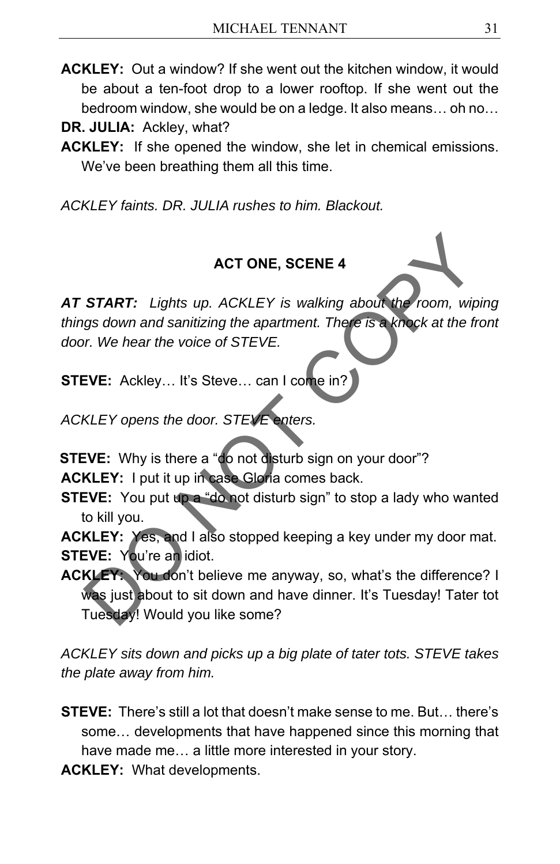- **ACKLEY:** Out a window? If she went out the kitchen window, it would be about a ten-foot drop to a lower rooftop. If she went out the bedroom window, she would be on a ledge. It also means… oh no…
- **DR. JULIA:** Ackley, what?
- **ACKLEY:** If she opened the window, she let in chemical emissions. We've been breathing them all this time.

*ACKLEY faints. DR. JULIA rushes to him. Blackout.* 

# **ACT ONE, SCENE 4**

*AT START: Lights up. ACKLEY is walking about the room, wiping things down and sanitizing the apartment. There is a knock at the front door. We hear the voice of STEVE.*  ACT ONE, SCENE 4<br>
START: Lights up. ACKLEY is walking about the room, wiping<br>
gs down and sanitizing the apartment. There is a knock at the from<br>
r. We hear the voice of STEVE.<br>
EVE: Ackley... It's Steve... can I come in?<br>

**STEVE:** Ackley… It's Steve… can I come in?

*ACKLEY opens the door. STEVE enters.* 

**STEVE:** Why is there a "do not disturb sign on your door"?

**ACKLEY:** I put it up in case Gloria comes back.

**STEVE:** You put up a "do not disturb sign" to stop a lady who wanted to kill you.

**ACKLEY:** Yes, and I also stopped keeping a key under my door mat. **STEVE:** You're an idiot.

**ACKLEY:** You don't believe me anyway, so, what's the difference? I was just about to sit down and have dinner. It's Tuesday! Tater tot Tuesday! Would you like some?

*ACKLEY sits down and picks up a big plate of tater tots. STEVE takes the plate away from him.* 

**STEVE:** There's still a lot that doesn't make sense to me. But… there's some… developments that have happened since this morning that have made me… a little more interested in your story.

**ACKLEY:** What developments.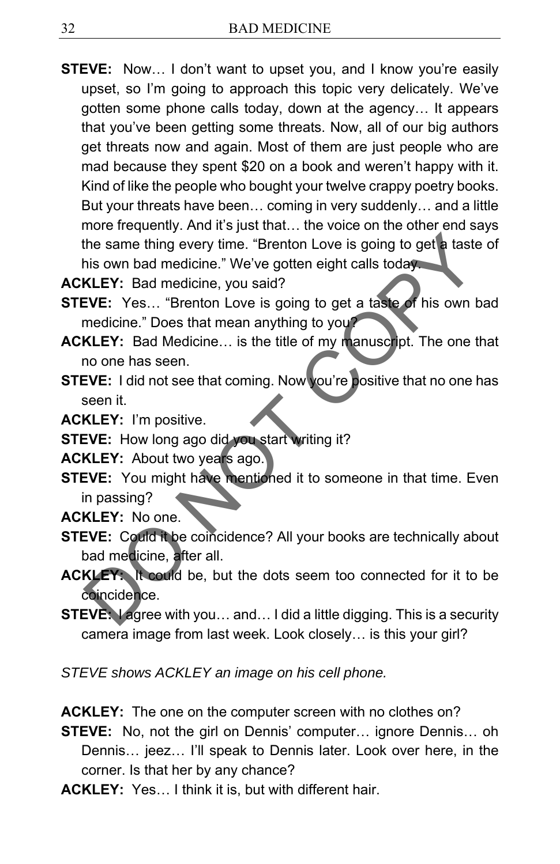**STEVE:** Now… I don't want to upset you, and I know you're easily upset, so I'm going to approach this topic very delicately. We've gotten some phone calls today, down at the agency… It appears that you've been getting some threats. Now, all of our big authors get threats now and again. Most of them are just people who are mad because they spent \$20 on a book and weren't happy with it. Kind of like the people who bought your twelve crappy poetry books. But your threats have been… coming in very suddenly… and a little more frequently. And it's just that… the voice on the other end says the same thing every time. "Brenton Love is going to get a taste of his own bad medicine." We've gotten eight calls today. the same thing every time. "Brenton Love is going to get a taste of<br>his own bad medicine." We've gotten eight calls today.<br> **KLEY:** Bad medicine, you said?<br> **KLEY:** Bad medicine, you said?<br> **KLEY:** Bad Medicine... is the t

**ACKLEY:** Bad medicine, you said?

- **STEVE:** Yes... "Brenton Love is going to get a taste of his own bad medicine." Does that mean anything to you?
- **ACKLEY:** Bad Medicine… is the title of my manuscript. The one that no one has seen.
- **STEVE:** I did not see that coming. Now you're positive that no one has seen it.

**ACKLEY:** I'm positive.

**STEVE:** How long ago did you start writing it?

**ACKLEY:** About two years ago.

**STEVE:** You might have mentioned it to someone in that time. Even in passing?

**ACKLEY:** No one.

- **STEVE:** Could it be coincidence? All your books are technically about bad medicine, after all.
- **ACKLEY:** It could be, but the dots seem too connected for it to be coincidence.
- **STEVE:** I agree with you… and… I did a little digging. This is a security camera image from last week. Look closely… is this your girl?

*STEVE shows ACKLEY an image on his cell phone.* 

**ACKLEY:** The one on the computer screen with no clothes on?

**STEVE:** No, not the girl on Dennis' computer… ignore Dennis… oh Dennis… jeez… I'll speak to Dennis later. Look over here, in the corner. Is that her by any chance?

**ACKLEY:** Yes… I think it is, but with different hair.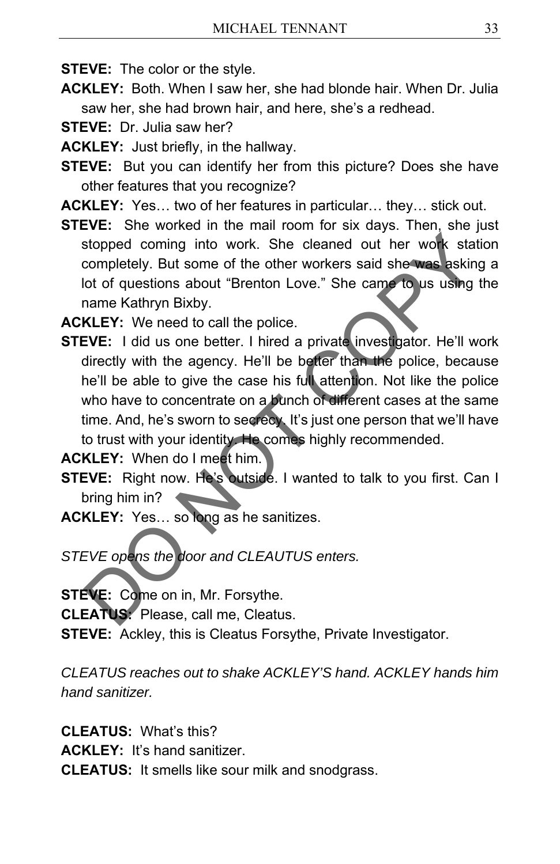**STEVE:** The color or the style.

- **ACKLEY:** Both. When I saw her, she had blonde hair. When Dr. Julia saw her, she had brown hair, and here, she's a redhead.
- **STEVE:** Dr. Julia saw her?
- **ACKLEY:** Just briefly, in the hallway.
- **STEVE:** But you can identify her from this picture? Does she have other features that you recognize?
- **ACKLEY:** Yes… two of her features in particular… they… stick out.
- **STEVE:** She worked in the mail room for six days. Then, she just stopped coming into work. She cleaned out her work station completely. But some of the other workers said she was asking a lot of questions about "Brenton Love." She came to us using the name Kathryn Bixby.

**ACKLEY:** We need to call the police.

**STEVE:** I did us one better. I hired a private investigator. He'll work directly with the agency. He'll be better than the police, because he'll be able to give the case his full attention. Not like the police who have to concentrate on a bunch of different cases at the same time. And, he's sworn to secrecy. It's just one person that we'll have to trust with your identity. He comes highly recommended. stopped coming into work. She cleaned out her work station<br>completely. But some of the other workers said she was asking a<br>lot of questions about "Brenton Love." She came to us using the<br>name Kathryn Bixby.<br>KLEY: We need t

**ACKLEY:** When do I meet him.

- **STEVE:** Right now. He's outside. I wanted to talk to you first. Can I bring him in?
- **ACKLEY:** Yes… so long as he sanitizes.

*STEVE opens the door and CLEAUTUS enters.* 

**STEVE:** Come on in, Mr. Forsythe.

**CLEATUS:** Please, call me, Cleatus.

**STEVE:** Ackley, this is Cleatus Forsythe, Private Investigator.

*CLEATUS reaches out to shake ACKLEY'S hand. ACKLEY hands him hand sanitizer.* 

**CLEATUS:** What's this?

**ACKLEY:** It's hand sanitizer.

**CLEATUS:** It smells like sour milk and snodgrass.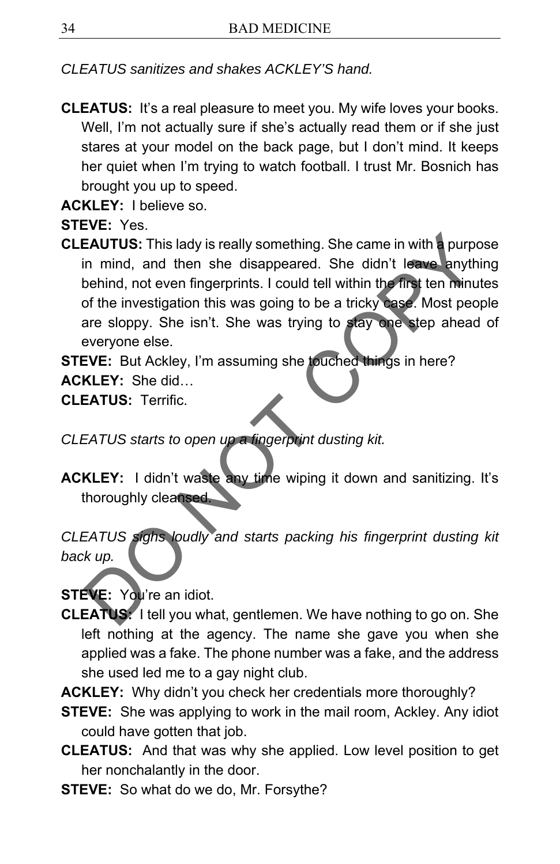*CLEATUS sanitizes and shakes ACKLEY'S hand.* 

**CLEATUS:** It's a real pleasure to meet you. My wife loves your books. Well, I'm not actually sure if she's actually read them or if she just stares at your model on the back page, but I don't mind. It keeps her quiet when I'm trying to watch football. I trust Mr. Bosnich has brought you up to speed.

**ACKLEY:** I believe so.

**STEVE:** Yes.

**CLEAUTUS:** This lady is really something. She came in with a purpose in mind, and then she disappeared. She didn't leave anything behind, not even fingerprints. I could tell within the first ten minutes of the investigation this was going to be a tricky case. Most people are sloppy. She isn't. She was trying to stay one step ahead of everyone else. EAUTUS: This lady is really something. She came in with a purpose<br>in mind, and then she disappeared. She didn't leave anything<br>behind, not even fingerprints. I could tell within the first ten minute:<br>of the investigation t

**STEVE:** But Ackley, I'm assuming she touched things in here? **ACKLEY:** She did…

**CLEATUS:** Terrific.

- *CLEATUS starts to open up a fingerprint dusting kit.*
- **ACKLEY:** I didn't waste any time wiping it down and sanitizing. It's thoroughly cleansed.

*CLEATUS sighs loudly and starts packing his fingerprint dusting kit back up.* 

**STEVE:** You're an idiot.

- **CLEATUS:** I tell you what, gentlemen. We have nothing to go on. She left nothing at the agency. The name she gave you when she applied was a fake. The phone number was a fake, and the address she used led me to a gay night club.
- **ACKLEY:** Why didn't you check her credentials more thoroughly?
- **STEVE:** She was applying to work in the mail room, Ackley. Any idiot could have gotten that job.
- **CLEATUS:** And that was why she applied. Low level position to get her nonchalantly in the door.
- **STEVE:** So what do we do, Mr. Forsythe?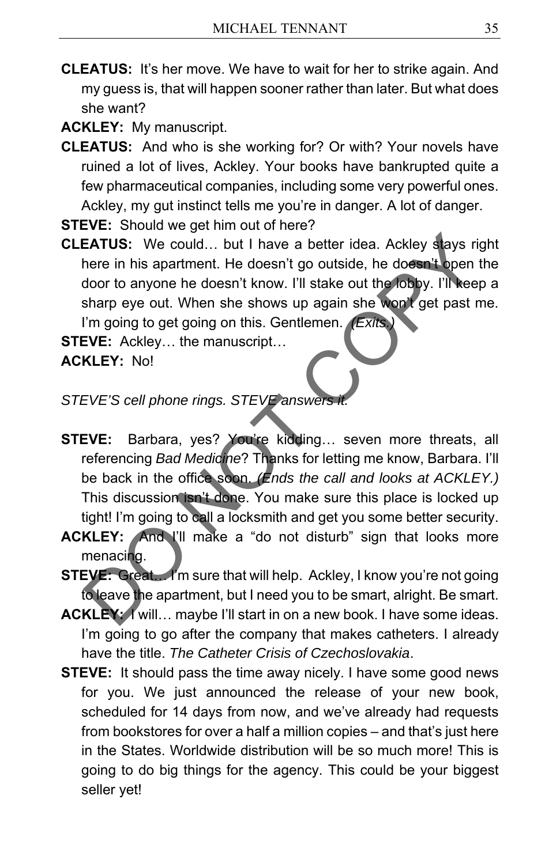**CLEATUS:** It's her move. We have to wait for her to strike again. And my guess is, that will happen sooner rather than later. But what does she want?

**ACKLEY:** My manuscript.

**CLEATUS:** And who is she working for? Or with? Your novels have ruined a lot of lives, Ackley. Your books have bankrupted quite a few pharmaceutical companies, including some very powerful ones. Ackley, my gut instinct tells me you're in danger. A lot of danger.

**STEVE:** Should we get him out of here?

**CLEATUS:** We could… but I have a better idea. Ackley stays right here in his apartment. He doesn't go outside, he doesn't open the door to anyone he doesn't know. I'll stake out the lobby. I'll keep a sharp eye out. When she shows up again she won't get past me. I'm going to get going on this. Gentlemen. *(Exits.)*

**STEVE:** Ackley... the manuscript...

**ACKLEY:** No!

### *STEVE'S cell phone rings. STEVE answer*

- **STEVE:** Barbara, yes? You're kidding… seven more threats, all referencing *Bad Medicine*? Thanks for letting me know, Barbara. I'll be back in the office soon. *(Ends the call and looks at ACKLEY.)*  This discussion isn't done. You make sure this place is locked up tight! I'm going to call a locksmith and get you some better security. EATUS: We could... but I have a better idea. Ackley stays rightere in his apartment. He doesn't go outside, he doesn't open the door to anyone he doesn't know. I'll stake out the lobby. I'll keep a<br>for to anyone he doesn't
- **ACKLEY:** And I'll make a "do not disturb" sign that looks more menacing.
- **STEVE:** Great. I'm sure that will help. Ackley, I know you're not going to leave the apartment, but I need you to be smart, alright. Be smart.
- **ACKLEY:** I will… maybe I'll start in on a new book. I have some ideas. I'm going to go after the company that makes catheters. I already have the title. *The Catheter Crisis of Czechoslovakia*.
- **STEVE:** It should pass the time away nicely. I have some good news for you. We just announced the release of your new book, scheduled for 14 days from now, and we've already had requests from bookstores for over a half a million copies – and that's just here in the States. Worldwide distribution will be so much more! This is going to do big things for the agency. This could be your biggest seller yet!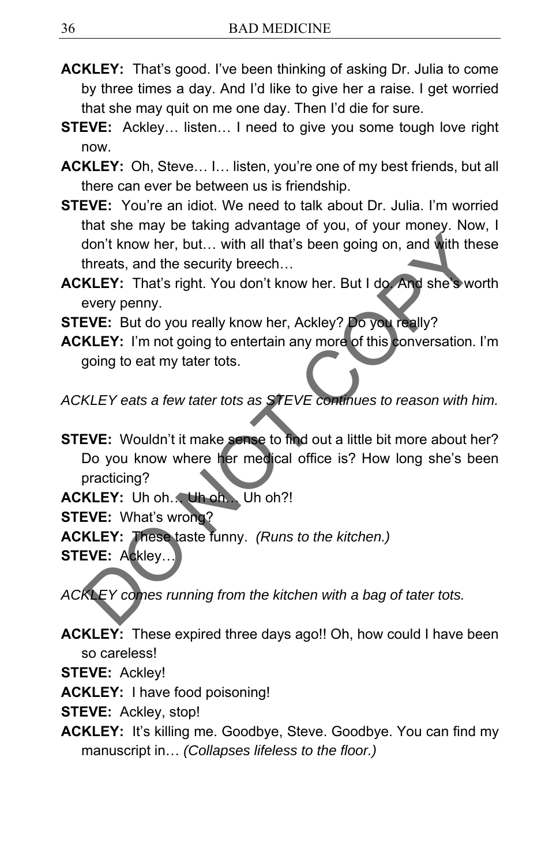- **ACKLEY:** That's good. I've been thinking of asking Dr. Julia to come by three times a day. And I'd like to give her a raise. I get worried that she may quit on me one day. Then I'd die for sure.
- **STEVE:** Ackley… listen… I need to give you some tough love right now.
- **ACKLEY:** Oh, Steve… I… listen, you're one of my best friends, but all there can ever be between us is friendship.
- **STEVE:** You're an idiot. We need to talk about Dr. Julia. I'm worried that she may be taking advantage of you, of your money. Now, I don't know her, but… with all that's been going on, and with these threats, and the security breech…
- **ACKLEY:** That's right. You don't know her. But I do. And she's worth every penny.
- **STEVE:** But do you really know her, Ackley? Do you really?
- **ACKLEY:** I'm not going to entertain any more of this conversation. I'm going to eat my tater tots.

*ACKLEY eats a few tater tots as STEVE continues to reason with him.* 

**STEVE:** Wouldn't it make sense to find out a little bit more about her? Do you know where her medical office is? How long she's been practicing? don't know her, but... with all that's been going on, and with these<br>threats, and the security breech...<br>KLEY: That's right. You don't know her. But I do And she swortl<br>every penny.<br>EVE: But do you really know her, Ackley?

**ACKLEY:** Uh oh… Uh oh… Uh oh?!

**STEVE:** What's wrong?

**ACKLEY:** These taste funny. *(Runs to the kitchen.)* 

STEVE: Ackley.

*ACKLEY comes running from the kitchen with a bag of tater tots.* 

- **ACKLEY:** These expired three days ago!! Oh, how could I have been so careless!
- **STEVE:** Ackley!

**ACKLEY:** I have food poisoning!

**STEVE:** Ackley, stop!

**ACKLEY:** It's killing me. Goodbye, Steve. Goodbye. You can find my manuscript in… *(Collapses lifeless to the floor.)*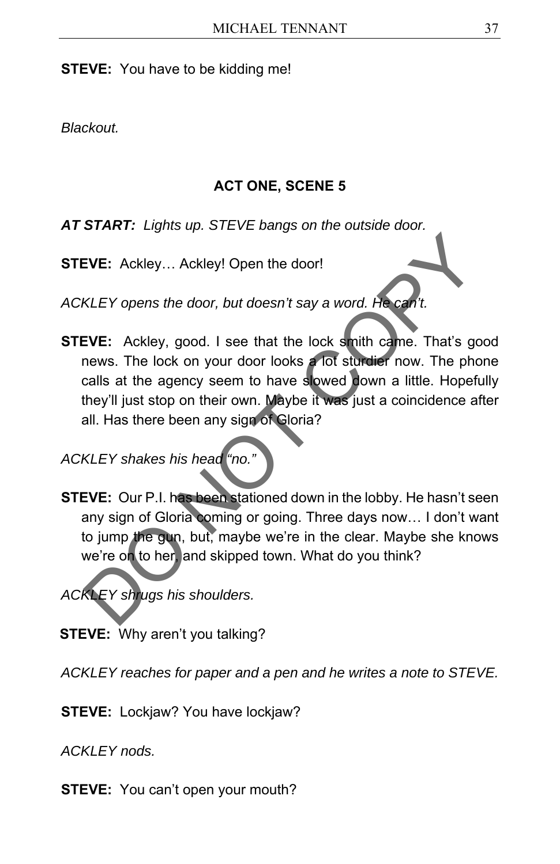**STEVE:** You have to be kidding me!

*Blackout.* 

#### **ACT ONE, SCENE 5**

*AT START: Lights up. STEVE bangs on the outside door.* 

**STEVE:** Ackley… Ackley! Open the door!

*ACKLEY opens the door, but doesn't say a word. He can't.* 

**STEVE:** Ackley, good. I see that the lock smith came. That's good news. The lock on your door looks a lot sturdier now. The phone calls at the agency seem to have slowed down a little. Hopefully they'll just stop on their own. Maybe it was just a coincidence after all. Has there been any sign of Gloria? EVE: Ackley... Ackley! Open the door!<br>
KLEY opens the door, but doesn't say a word. He can't.<br>
EVE: Ackley, good. I see that the lock smith came. That's goodnews. The lock on your door looks a lot studier now. The phone<br>
c

*ACKLEY shakes his head "no."*

**STEVE:** Our P.I. has been stationed down in the lobby. He hasn't seen any sign of Gloria coming or going. Three days now… I don't want to jump the gun, but, maybe we're in the clear. Maybe she knows we're on to her, and skipped town. What do you think?

*ACKLEY shrugs his shoulders.* 

**STEVE:** Why aren't you talking?

*ACKLEY reaches for paper and a pen and he writes a note to STEVE.* 

**STEVE:** Lockjaw? You have lockjaw?

*ACKLEY nods.*

**STEVE:** You can't open your mouth?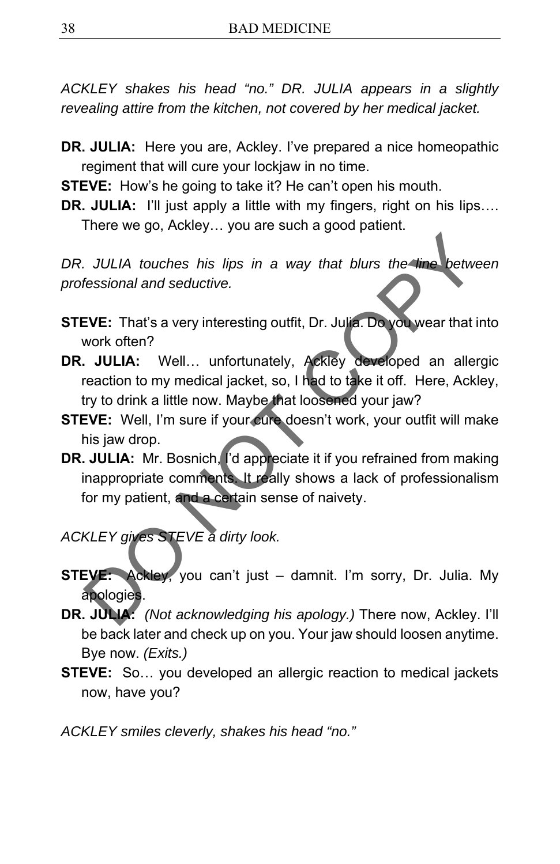*ACKLEY shakes his head "no." DR. JULIA appears in a slightly revealing attire from the kitchen, not covered by her medical jacket.* 

- **DR. JULIA:** Here you are, Ackley. I've prepared a nice homeopathic regiment that will cure your lockjaw in no time.
- **STEVE:** How's he going to take it? He can't open his mouth.
- **DR. JULIA:** I'll just apply a little with my fingers, right on his lips.... There we go, Ackley… you are such a good patient.

DR. JULIA touches his lips in a way that blurs the line between *professional and seductive.* 

- **STEVE:** That's a very interesting outfit, Dr. Julia. Do you wear that into work often?
- **DR. JULIA:** Well… unfortunately, Ackley developed an allergic reaction to my medical jacket, so, I had to take it off. Here, Ackley, try to drink a little now. Maybe that loosened your jaw?
- **STEVE:** Well, I'm sure if your cure doesn't work, your outfit will make his jaw drop.
- **DR. JULIA:** Mr. Bosnich, I'd appreciate it if you refrained from making inappropriate comments. It really shows a lack of professionalism for my patient, and a certain sense of naivety. JULIA touches his lips in a way that blurs the line betwee.<br>
fessional and seductive.<br>
EVE: That's a very interesting outfit, Dr. Julia. Do you wear that intervolved from?<br>
JULIA: Well... unfortunately, Ackley developed an
- *ACKLEY gives STEVE a dirty look.*
- **STEVE:** Ackley, you can't just damnit. I'm sorry, Dr. Julia. My apologies.
- **DR. JULIA:** *(Not acknowledging his apology.)* There now, Ackley. I'll be back later and check up on you. Your jaw should loosen anytime. Bye now. *(Exits.)*
- **STEVE:** So… you developed an allergic reaction to medical jackets now, have you?

*ACKLEY smiles cleverly, shakes his head "no."*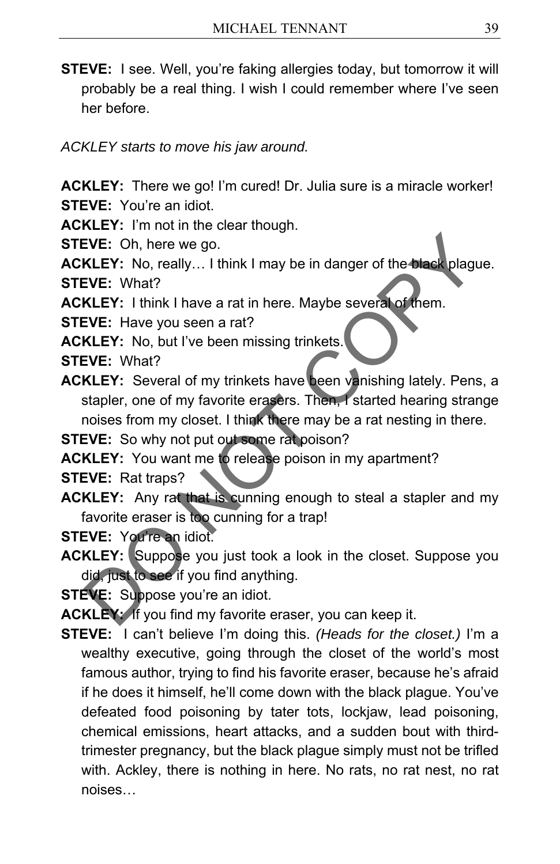**STEVE:** I see. Well, you're faking allergies today, but tomorrow it will probably be a real thing. I wish I could remember where I've seen her before.

*ACKLEY starts to move his jaw around.* 

**ACKLEY:** There we go! I'm cured! Dr. Julia sure is a miracle worker! **STEVE:** You're an idiot.

**ACKLEY:** I'm not in the clear though.

**STEVE:** Oh, here we go.

**ACKLEY:** No, really... I think I may be in danger of the black plague. **STEVE:** What?

**ACKLEY:** I think I have a rat in here. Maybe several of them.

**STEVE:** Have you seen a rat?

**ACKLEY:** No, but I've been missing trinkets.

**STEVE:** What?

**ACKLEY:** Several of my trinkets have been vanishing lately. Pens, a stapler, one of my favorite erasers. Then, I started hearing strange noises from my closet. I think there may be a rat nesting in there. EVE: Oh, here we go.<br>
KLEY: No, really... I think I may be in danger of the black plague.<br>
EVE: What?<br>
KLEY: I think I have a rat in here. Maybe several of them.<br>
EVE: Have you seen a rat?<br>
KLEY: No, but I've been missing

**STEVE:** So why not put out some rat poison?

**ACKLEY:** You want me to release poison in my apartment?

**STEVE:** Rat traps?

- **ACKLEY:** Any rat that is cunning enough to steal a stapler and my favorite eraser is too cunning for a trap!
- **STEVE:** You're an idiot.
- **ACKLEY:** Suppose you just took a look in the closet. Suppose you did, just to see if you find anything.

**STEVE:** Suppose you're an idiot.

**ACKLEY:** If you find my favorite eraser, you can keep it.

**STEVE:** I can't believe I'm doing this. *(Heads for the closet.)* I'm a wealthy executive, going through the closet of the world's most famous author, trying to find his favorite eraser, because he's afraid if he does it himself, he'll come down with the black plague. You've defeated food poisoning by tater tots, lockjaw, lead poisoning, chemical emissions, heart attacks, and a sudden bout with thirdtrimester pregnancy, but the black plague simply must not be trifled with. Ackley, there is nothing in here. No rats, no rat nest, no rat noises…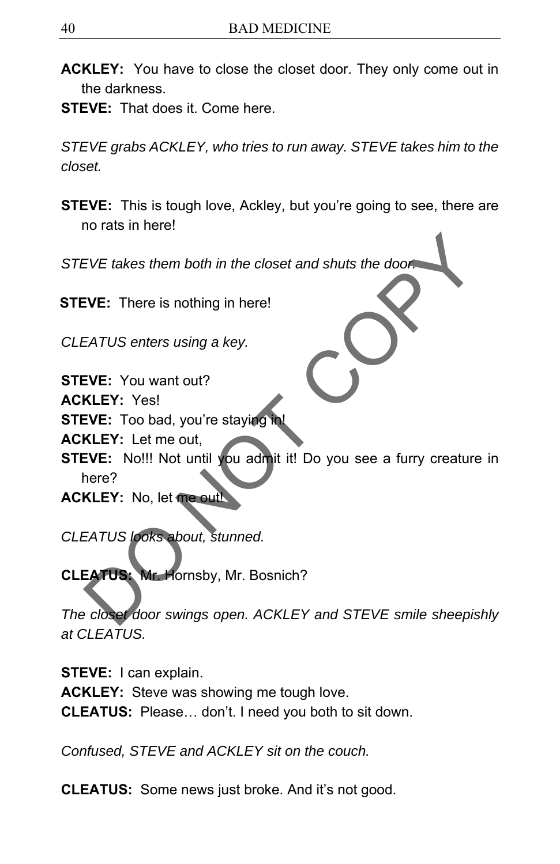- **ACKLEY:** You have to close the closet door. They only come out in the darkness.
- **STEVE:** That does it. Come here.

*STEVE grabs ACKLEY, who tries to run away. STEVE takes him to the closet.* 

**STEVE:** This is tough love, Ackley, but you're going to see, there are no rats in here!

*STEVE takes them both in the closet and shuts the door.*

**STEVE:** There is nothing in here!

*CLEATUS enters using a key.*

**STEVE:** You want out?

**ACKLEY:** Yes!

**STEVE:** Too bad, you're staying in

**ACKLEY:** Let me out,

**STEVE:** No!!! Not until you admit it! Do you see a furry creature in here? EVE takes them both in the closet and shuts the door.<br>
EVE: There is nothing in here!<br>
EATUS enters using a key.<br>
EVE: You want out?<br>
KLEY: Yes!<br>
EVE: Too bad, you're staying in!<br>
KLEY: Let me out,<br>
EVE: No!!! Not until yo

**ACKLEY:** No, let me ou

*CLEATUS looks about, stunned.* 

**CLEATUS:** Mr. Hornsby, Mr. Bosnich?

*The closet door swings open. ACKLEY and STEVE smile sheepishly at CLEATUS.* 

**STEVE:** I can explain. **ACKLEY:** Steve was showing me tough love. **CLEATUS:** Please… don't. I need you both to sit down.

*Confused, STEVE and ACKLEY sit on the couch.* 

**CLEATUS:** Some news just broke. And it's not good.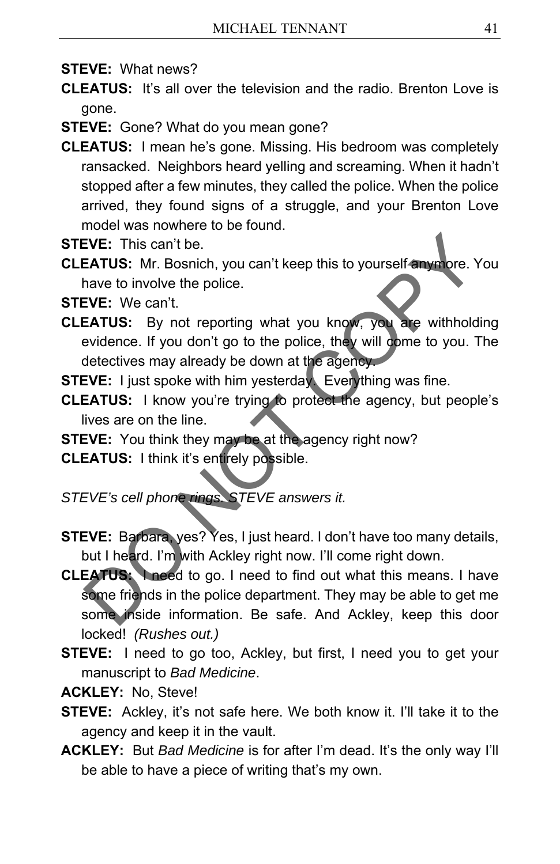**STEVE:** What news?

**CLEATUS:** It's all over the television and the radio. Brenton Love is gone.

**STEVE:** Gone? What do you mean gone?

**CLEATUS:** I mean he's gone. Missing. His bedroom was completely ransacked. Neighbors heard yelling and screaming. When it hadn't stopped after a few minutes, they called the police. When the police arrived, they found signs of a struggle, and your Brenton Love model was nowhere to be found.

**STEVE:** This can't be.

**CLEATUS:** Mr. Bosnich, you can't keep this to yourself anymore. You have to involve the police.

**STEVE:** We can't.

- **CLEATUS:** By not reporting what you know, you are withholding evidence. If you don't go to the police, they will come to you. The detectives may already be down at the agency.
- **STEVE:** I just spoke with him yesterday. Everything was fine.
- **CLEATUS:** I know you're trying to protect the agency, but people's lives are on the line.

**STEVE:** You think they may be at the agency right now? **CLEATUS:** I think it's entirely possible.

*STEVE's cell phone rings. STEVE answers it.* 

- **STEVE:** Barbara, yes? Yes, I just heard. I don't have too many details, but I heard. I'm with Ackley right now. I'll come right down.
- **CLEATUS:** I need to go. I need to find out what this means. I have some friends in the police department. They may be able to get me some inside information. Be safe. And Ackley, keep this door locked! *(Rushes out.)* EVE: This can't be.<br>
EATUS: Mr. Bosnich, you can't keep this to yourself anymore. You<br>
flave to involve the police.<br>
EVE: We can't.<br>
EATUS: By not reporting what you know, you are withholding<br>
evidence. If you don't go to
- **STEVE:** I need to go too, Ackley, but first, I need you to get your manuscript to *Bad Medicine*.
- **ACKLEY:** No, Steve!
- **STEVE:** Ackley, it's not safe here. We both know it. I'll take it to the agency and keep it in the vault.
- **ACKLEY:** But *Bad Medicine* is for after I'm dead. It's the only way I'll be able to have a piece of writing that's my own.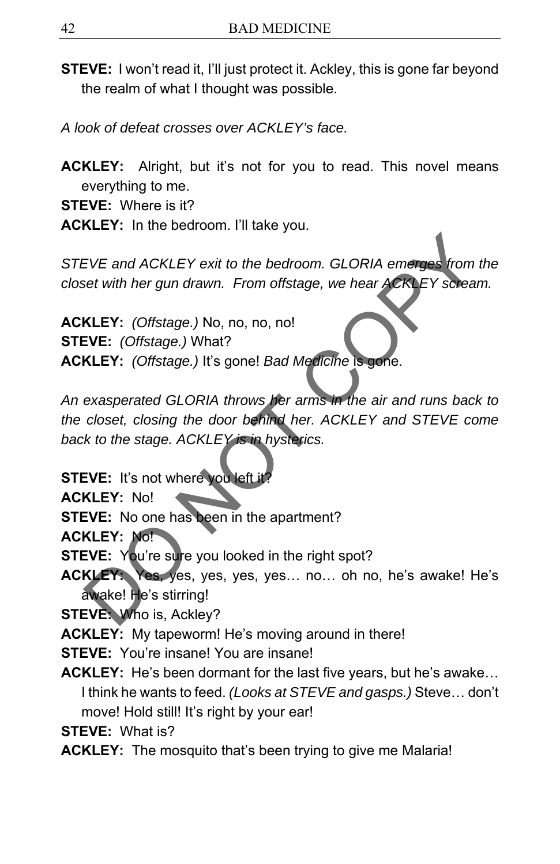- **STEVE:** I won't read it, I'll just protect it. Ackley, this is gone far beyond the realm of what I thought was possible.
- *A look of defeat crosses over ACKLEY's face.*
- **ACKLEY:** Alright, but it's not for you to read. This novel means everything to me.

**STEVE:** Where is it?

**ACKLEY:** In the bedroom. I'll take you.

*STEVE and ACKLEY exit to the bedroom. GLORIA emerges from the closet with her gun drawn. From offstage, we hear ACKLEY scream.* 

**ACKLEY:** *(Offstage.)* No, no, no, no! **STEVE:** *(Offstage.)* What? **ACKLEY:** *(Offstage.)* It's gone! *Bad Medicine* is gone.

*An exasperated GLORIA throws her arms in the air and runs back to the closet, closing the door behind her. ACKLEY and STEVE come back to the stage. ACKLEY is in hysterics.*  EVE and ACKLEY exit to the bedroom. GLORIA emerges from the<br>set with her gun drawn. From offstage, we hear ACKLEY scream.<br>KLEY: (Offstage.) No, no, no, no!<br>KLEY: (Offstage.) What?<br>KLEY: (Offstage.) It's gone! Bad Medicine

**STEVE:** It's not where you left it

**ACKLEY:** No!

**STEVE:** No one has been in the apartment?

**ACKLEY:** No!

**STEVE:** You're sure you looked in the right spot?

**ACKLEY:** Yes, yes, yes, yes, yes… no… oh no, he's awake! He's awake! He's stirring!

**STEVE:** Who is, Ackley?

**ACKLEY:** My tapeworm! He's moving around in there!

**STEVE:** You're insane! You are insane!

**ACKLEY:** He's been dormant for the last five years, but he's awake… I think he wants to feed. *(Looks at STEVE and gasps.)* Steve… don't move! Hold still! It's right by your ear!

**STEVE:** What is?

**ACKLEY:** The mosquito that's been trying to give me Malaria!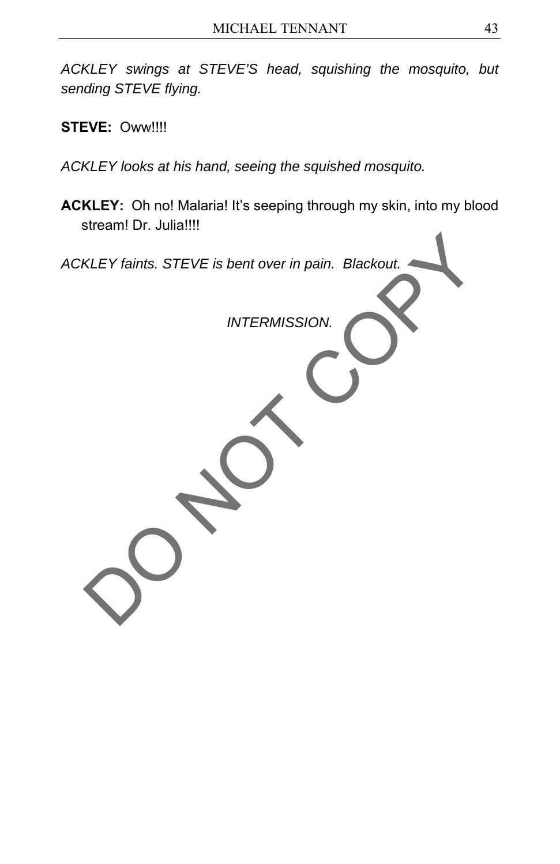*ACKLEY swings at STEVE'S head, squishing the mosquito, but sending STEVE flying.* 

**STEVE:** Oww!!!!

*ACKLEY looks at his hand, seeing the squished mosquito.* 

**ACKLEY:** Oh no! Malaria! It's seeping through my skin, into my blood stream! Dr. Julia!!!!

*ACKLEY faints. STEVE is bent over in pain. Blackout. INTERMISSION.*  KLEY faints. STEVE is bent over in pain. Blackout.